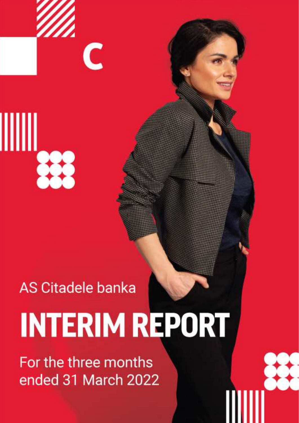$+11$ 

┉

# **AS Citadele banka**

 $\overline{\mathsf{C}}$ 

# **INTERIM REPORT**

For the three months ended 31 March 2022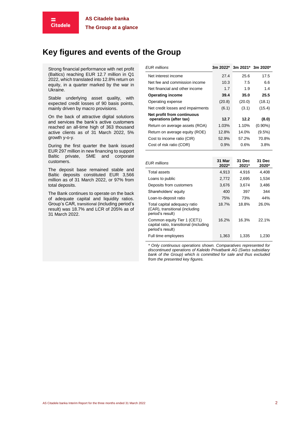# **Key figures and events of the Group**

Strong financial performance with net profit (Baltics) reaching EUR 12.7 million in Q1 2022, which translated into 12.8% return on equity, in a quarter marked by the war in Ukraine.

Е **Citadele** 

Stable underlying asset quality, with expected credit losses of 90 basis points, mainly driven by macro provisions.

On the back of attractive digital solutions and services the bank's active customers reached an all-time high of 363 thousand active clients as of 31 March 2022, 5% growth y-o-y.

During the first quarter the bank issued EUR 297 million in new financing to support Baltic private, SME and corporate customers.

The deposit base remained stable and Baltic deposits constituted EUR 3,566 million as of 31 March 2022, or 97% from total deposits.

The Bank continues to operate on the back of adequate capital and liquidity ratios. Group's CAR, transitional (including period's result) was 18.7% and LCR of 205% as of 31 March 2022.

| EUR millions                                         | 3m 2022* 3m 2021* 3m 2020* |        |            |
|------------------------------------------------------|----------------------------|--------|------------|
| Net interest income                                  | 27.4                       | 25.6   | 17.5       |
| Net fee and commission income                        | 10.3                       | 7.5    | 6.6        |
| Net financial and other income                       | 1.7                        | 1.9    | 1.4        |
| <b>Operating income</b>                              | 39.4                       | 35.0   | 25.5       |
| Operating expense                                    | (20.8)                     | (20.0) | (18.1)     |
| Net credit losses and impairments                    | (6.1)                      | (3.1)  | (15.4)     |
| Net profit from continuous<br>operations (after tax) | 12.7                       | 12.2   | (8.0)      |
| Return on average assets (ROA)                       | 1.03%                      | 1.10%  | $(0.90\%)$ |
| Return on average equity (ROE)                       | 12.8%                      | 14.0%  | $(9.5\%)$  |
| Cost to income ratio (CIR)                           | 52.9%                      | 57.2%  | 70.8%      |
| Cost of risk ratio (COR)                             | 0.9%                       | 0.6%   | 3.8%       |

| <b>EUR</b> millions                                                                       | 31 Mar<br>2022* | 31 Dec<br>2021* | 31 Dec<br>2020* |
|-------------------------------------------------------------------------------------------|-----------------|-----------------|-----------------|
| Total assets                                                                              | 4.913           | 4.916           | 4,408           |
| Loans to public                                                                           | 2,772           | 2.695           | 1,534           |
| Deposits from customers                                                                   | 3,676           | 3.674           | 3,486           |
| Shareholders' equity                                                                      | 400             | 397             | 344             |
| Loan-to-deposit ratio                                                                     | 75%             | 73%             | 44%             |
| Total capital adequacy ratio<br>(CAR), transitional (including<br>period's result)        | 18.7%           | 18.8%           | 26.0%           |
| Common equity Tier 1 (CET1)<br>capital ratio, transitional (including<br>period's result) | 16.2%           | 16.3%           | 22.1%           |
| Full time employees                                                                       | 1.363           | 1.335           | 1,230           |

*\* Only continuous operations shown. Comparatives represented for discontinued operations of Kaleido Privatbank AG (Swiss subsidiary bank of the Group) which is committed for sale and thus excluded from the presented key figures.*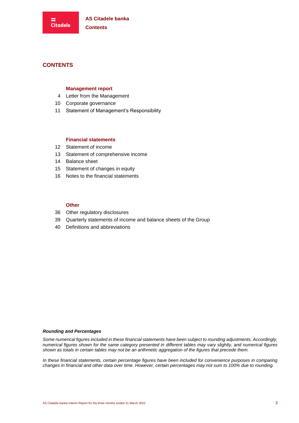# **CONTENTS**

#### **Management report**

- 4 Letter from the Management
- [10](#page-9-0) Corporate governance
- [11](#page-10-0) Statement of Management's Responsibility

#### **Financial statements**

- [12](#page-11-0) Statement of income
- [13](#page-12-0) Statement of comprehensive income
- [14](#page-13-0) Balance sheet
- [15](#page-14-0) Statement of changes in equity
- [16](#page-15-0) Notes to the financial statements

#### **Other**

- [36](#page-35-0) Other regulatory disclosures
- [39](#page-38-0) Quarterly statements of income and balance sheets of the Group
- [40](#page-39-0) Definitions and abbreviations

#### *Rounding and Percentages*

*Some numerical figures included in these financial statements have been subject to rounding adjustments. Accordingly, numerical figures shown for the same category presented in different tables may vary slightly, and numerical figures shown as totals in certain tables may not be an arithmetic aggregation of the figures that precede them.*

*In these financial statements, certain percentage figures have been included for convenience purposes in comparing changes in financial and other data over time. However, certain percentages may not sum to 100% due to rounding.*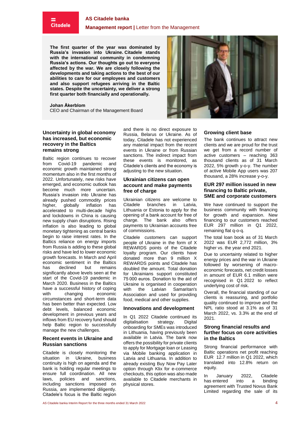# **Citadele**

#### **Management report |** Letter from the Management

<span id="page-3-0"></span>**The first quarter of the year was dominated by Russia's invasion into Ukraine. Citadele stands with the international community in condemning Russia's actions. Our thoughts go out to everyone affected by the war. We are closely following the developments and taking actions to the best of our abilities to care for our employees and customers and also support refugees arriving in the Baltic states. Despite the uncertainty, we deliver a strong first quarter both financially and operationally.**

#### **Johan Åkerblom**

CEO and Chairman of the Management Board

#### **Uncertainty in global economy has increased, but economic recovery in the Baltics remains strong**

Baltic region continues to recover<br>from Covid-19 pandemic and Covid-19 pandemic and economic growth maintained strong momentum also in the first months of 2022. Unfortunately, new risks have emerged, and economic outlook has become much more uncertain. Russia's invasion into Ukraine has already pushed commodity prices<br>higher, globally inflation has higher, globally inflation has accelerated to multi-decade highs and lockdowns in China is causing new supply chain disruptions. Rising inflation is also leading to global monetary tightening as central banks begin to raise interest rates. In the Baltics reliance on energy imports from Russia is adding to these global risks and have led to lower economic growth forecasts. In March and April economic sentiment in the Baltics has declined but remains significantly above levels seen at the start of the Covid-19 pandemic in March 2020. Business in the Baltics have a successful history of coping<br>with changing economic changing circumstances and short-term data has been better than expected. Low debt levels, balanced economic development in previous years and inflows from EU recovery fund should help Baltic region to successfully manage the new challenges.

#### **Recent events in Ukraine and Russian sanctions**

Citadele is closely monitoring the situation in Ukraine, business continuity is high on agenda and the bank is holding regular meetings to ensure full coordination. All new laws, policies and sanctions, including sanctions imposed on Russia, are implemented diligently. Citadele's focus is the Baltic region

and there is no direct exposure to Russia, Belarus or Ukraine. As of today, Citadele has not experienced any material impact from the recent events in Ukraine or from Russian sanctions. The indirect impact from these events is monitored, as Citadele's clients and the economy is adjusting to the new situation.

#### **Ukrainian citizens can open account and make payments free of charge**

Ukrainian citizens are welcome to Citadele branches in Latvia, Lithuania or Estonia to apply for the opening of a bank account for free of charge. The bank also offers payments to Ukrainian accounts free of commissions.

Citadele customers can support people of Ukraine in the form of X REWARDS points of the Citadele loyalty program. Our clients have donated more than 9 million X REWARDS points and Citadele has doubled the amount. Total donation for Ukrainians support constituted 75 000 euros. Donation to the aid of Ukraine is organised in cooperation with the Latvian Samaritan's Association and used for providing food, medical and other supplies.

#### **Innovations and development**

In Q1 2022 Citadele continued its digitalisation strategy. Digital onboarding for SMEs was introduced in Lithuania, having previously been available in Latvia. The bank now offers the possibility for private clients to apply for Mortgage loan or Leasing via Mobile banking application in Latvia and Lithuania. In addition to already existing Buy Now Pay Later option through Klix for e-commerce checkouts, this option was also made available to Citadele merchants in physical stores.

#### **Growing client base**

The bank continues to attract new clients and we are proud for the trust we get from a record number of active customers – reaching 363 thousand clients as of 31 March 2022, 5% growth y-o-y. The number of active Mobile App users was 207 thousand, a 28% increase y-o-y.

#### **EUR 297 million issued in new financing to Baltic private, SME and corporate customers**

We have continued to support the business community with financing for growth and expansion. New financing to our customers reached EUR 297 million in Q1 2022, remaining flat q-o-q.

The total loan book as of 31 March 2022 was EUR 2,772 million, 3% higher vs. the year end 2021.

Due to uncertainty related to higher energy prices and the war in Ukraine followed by worsening of macroeconomic forecasts, net credit losses in amount of EUR 6.1 million were recognised in Q1 2022 to reflect underlying cost of risk.

Overall, the financial standing of our clients is reassuring, and portfolio quality continued to improve and the NPL ratio stood at 3.1% as of 31 March 2022, vs. 3.3% at the end of 2021.

#### **Strong financial results and further focus on core activities in the Baltics**

Strong financial performance with Baltic operations net profit reaching EUR 12.7 million in Q1 2022, which translated into 12.8% return on equity.

In January 2022, Citadele has entered into a binding agreement with Trusted Novus Bank Limited regarding the sale of its

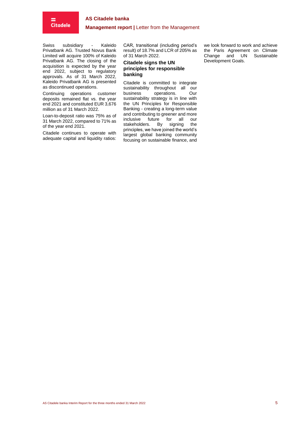

**Management report |** Letter from the Management

Swiss subsidiary - Kaleido Privatbank AG. Trusted Novus Bank Limited will acquire 100% of Kaleido Privatbank AG. The closing of the acquisition is expected by the year end 2022, subject to regulatory approvals. As of 31 March 2022, Kaleido Privatbank AG is presented as discontinued operations.

Continuing operations customer deposits remained flat vs. the year end 2021 and constituted EUR 3,676 million as of 31 March 2022.

Loan-to-deposit ratio was 75% as of 31 March 2022, compared to 71% as of the year end 2021.

Citadele continues to operate with adequate capital and liquidity ratios:

CAR, transitional (including period's result) of 18.7% and LCR of 205% as of 31 March 2022.

#### **Citadele signs the UN principles for responsible banking**

Citadele is committed to integrate sustainability throughout all our<br>business operations. Our operations. sustainability strategy is in line with the UN Principles for Responsible Banking - creating a long-term value and contributing to greener and more<br>inclusive future for all our future for all our<br>ers. By signing the stakeholders. By signing principles, we have joined the world's largest global banking community focusing on sustainable finance, and we look forward to work and achieve the Paris Agreement on Climate Change and UN Sustainable Development Goals.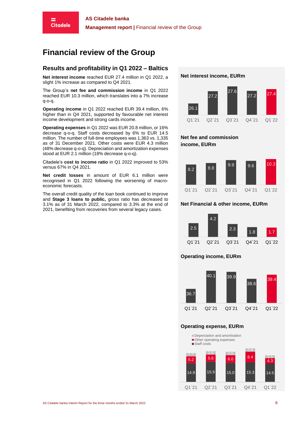# **Financial review of the Group**

# **Results and profitability in Q1 2022 – Baltics**

**Net interest income** reached EUR 27.4 million in Q1 2022, a slight 1% increase as compared to Q4 2021.

The Group's **net fee and commission income** in Q1 2022 reached EUR 10.3 million, which translates into a 7% increase q-o-q.

**Operating income** in Q1 2022 reached EUR 39.4 million, 6% higher than in Q4 2021, supported by favourable net interest income development and strong cards income.

**Operating expenses** in Q1 2022 was EUR 20.8 million, or 16% decrease q-o-q. Staff costs decreased by 6% to EUR 14.5 million. The number of full-time employees was 1,363 vs. 1,335 as of 31 December 2021. Other costs were EUR 4.3 million (48% decrease q-o-q). Depreciation and amortization expenses stood at EUR 2.1 million (18% decrease q-o-q).

Citadele's **cost to income ratio** in Q1 2022 improved to 53% versus 67% in Q4 2021.

**Net credit losses** in amount of EUR 6.1 million were recognised in Q1 2022 following the worsening of macroeconomic forecasts.

The overall credit quality of the loan book continued to improve and **Stage 3 loans to public,** gross ratio has decreased to 3.1% as of 31 March 2022, compared to 3.3% at the end of 2021, benefiting from recoveries from several legacy cases.





# **Net fee and commission income, EURm**



# **Net Financial & other income, EURm**



# **Operating income, EURm**



# **Operating expense, EURm**

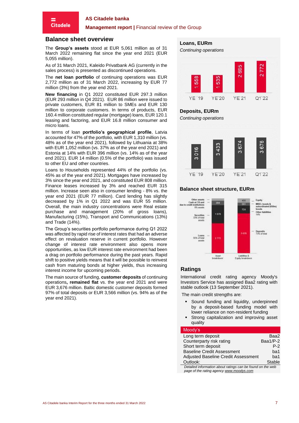#### **Management report** | Financial review of the Group

#### **Balance sheet overview**

**Citadele** 

The **Group's assets** stood at EUR 5,061 million as of 31 March 2022 remaining flat since the year end 2021 (EUR 5,055 million).

As of 31 March 2021, Kaleido Privatbank AG (currently in the sales process) is presented as discontinued operations.

The **net loan portfolio** of continuing operations was EUR 2,772 million as of 31 March 2022, increasing by EUR 77 million (3%) from the year end 2021.

**New financing** in Q1 2022 constituted EUR 297.3 million (EUR 293 million in Q4 2021). EUR 86 million were issued to private customers, EUR 81 million to SMEs and EUR 130 million to corporate customers. In terms of products, EUR 160.4 million constituted regular (mortgage) loans, EUR 120.1 leasing and factoring, and EUR 16.8 million consumer and micro loans.

In terms of loan **portfolio's geographical profile**, Latvia accounted for 47% of the portfolio, with EUR 1,310 million (vs. 48% as of the year end 2021), followed by Lithuania at 38% with EUR 1,052 million (vs. 37% as of the year end 2021) and Estonia at 14% with EUR 396 million (vs. 14% as of the year end 2021). EUR 14 million (0.5% of the portfolio) was issued to other EU and other countries.

Loans to Households represented 44% of the portfolio (vs. 45% as of the year end 2021). Mortgages have increased by 3% since the year end 2021, and constituted EUR 808 million. Finance leases increased by 3% and reached EUR 315 million. Increase seen also in consumer lending - 8% vs. the year end 2021 (EUR 77 million). Card lending has slightly decreased by 1% in Q1 2022 and was EUR 55 million. Overall, the main industry concentrations were Real estate purchase and management (20% of gross loans), Manufacturing (15%), Transport and Communications (13%) and Trade (14%).

The Group's securities portfolio performance during Q1 2022 was affected by rapid rise of interest rates that had an adverse effect on revaluation reserve in current portfolio. However change of interest rate environment also opens more opportunities, as low EUR interest rate environment had been a drag on portfolio performance during the past years. Rapid shift to positive yields means that it will be possible to reinvest cash from maturing bonds at higher yields, thus increasing interest income for upcoming periods.

The main source of funding, **customer deposits** of continuing operations**, remained flat** vs. the year end 2021 and were EUR 3,676 million. Baltic domestic customer deposits formed 97% of total deposits or EUR 3,566 million (vs. 94% as of the year end 2021).

#### **Loans, EURm**



#### **Deposits, EURm**

*Continuing operations*



# **Balance sheet structure, EURm**



#### **Ratings**

International credit rating agency Moody's Investors Service has assigned Baa2 rating with stable outlook (13 September 2021).

The main credit strengths are:

- Sound funding and liquidity, underpinned by a deposit-based funding model with lower reliance on non-resident funding
- Strong capitalization and improving asset quality

#### Moody's

| Long term deposit                                                                                                                                                                                                                                                                             | Baa2     |
|-----------------------------------------------------------------------------------------------------------------------------------------------------------------------------------------------------------------------------------------------------------------------------------------------|----------|
| Counterparty risk rating                                                                                                                                                                                                                                                                      | Baa1/P-2 |
| Short term deposit                                                                                                                                                                                                                                                                            | $P-2$    |
| <b>Baseline Credit Assessment</b>                                                                                                                                                                                                                                                             | ba1      |
| <b>Adjusted Baseline Credit Assessment</b>                                                                                                                                                                                                                                                    | ba1      |
| Outlook:                                                                                                                                                                                                                                                                                      | Stable   |
| Detailed information about ratings can be found on the web<br>$\sim$ . The contract of the contract of the contract of the contract of the contract of the contract of the contract of the contract of the contract of the contract of the contract of the contract of the contract of the co |          |
|                                                                                                                                                                                                                                                                                               |          |

*page of the rating agency [www.moodys.com](http://www.moodys.com/)*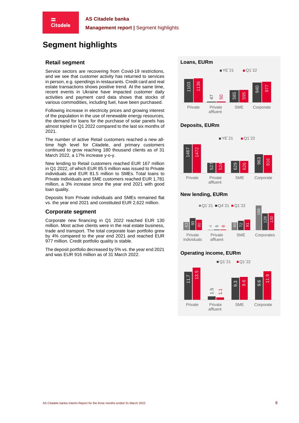# **Segment highlights**

## **Retail segment**

**Citadele** 

Service sectors are recovering from Covid-19 restrictions, and we see that customer activity has returned to services in person, e.g. spendings in restaurants. Credit card and real estate transactions shows positive trend. At the same time, recent events in Ukraine have impacted customer daily activities and payment card data shows that stocks of various commodities, including fuel, have been purchased.

Following increase in electricity prices and growing interest of the population in the use of renewable energy resources, the demand for loans for the purchase of solar panels has almost tripled in Q1 2022 compared to the last six months of 2021.

The number of active Retail customers reached a new alltime high level for Citadele, and primary customers continued to grow reaching 180 thousand clients as of 31 March 2022, a 17% increase y-o-y.

New lending to Retail customers reached EUR 167 million in Q1 2022, of which EUR 85.5 million was issued to Private individuals and EUR 81.5 million to SMEs. Total loans to Private individuals and SME customers reached EUR 1,781 million, a 3% increase since the year end 2021 with good loan quality.

Deposits from Private individuals and SMEs remained flat vs. the year end 2021 and constituted EUR 2,622 million.

#### **Corporate segment**

Corporate new financing in Q1 2022 reached EUR 130 million. Most active clients were in the real estate business, trade and transport. The total corporate loan portfolio grew by 4% compared to the year end 2021 and reached EUR 977 million. Credit portfolio quality is stable.

The deposit portfolio decreased by 5% vs. the year end 2021 and was EUR 916 million as of 31 March 2022.

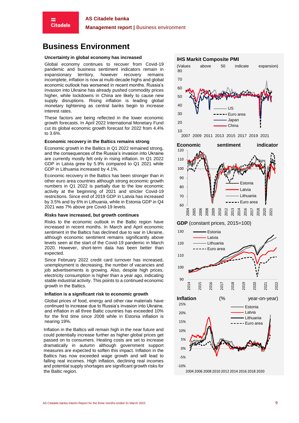## **Management report |** Business environment

# **Business Environment**

#### **Uncertainty in global economy has increased**

Global economy continues to recover from Covid-19 pandemic and business sentiment indicators remain in expansionary territory, however recovery remains incomplete, inflation is now at multi-decade highs and global economic outlook has worsened in recent months. Russia's invasion into Ukraine has already pushed commodity prices higher, while lockdowns in China are likely to cause new supply disruptions. Rising inflation is leading global monetary tightening as central banks begin to increase interest rates.

These factors are being reflected in the lower economic growth forecasts. In April 2022 International Monetary Fund cut its global economic growth forecast for 2022 from 4.4% to 3.6%.

#### **Economic recovery in the Baltics remains strong**

Economic growth in the Baltics in Q1 2022 remained strong, and the consequences of the Russia's invasion into Ukraine are currently mostly felt only in rising inflation. In Q1 2022 GDP in Latvia grew by 5.9% compared to Q1 2021 while GDP in Lithuania increased by 4.1%.

Economic recovery in the Baltics has been stronger than in other euro area countries although strong economic growth numbers in Q1 2022 is partially due to the low economic activity at the beginning of 2021 and stricter Covid-19 restrictions. Since end of 2019 GDP in Latvia has increased by 3.5% and by 6% in Lithuania, while in Estonia GDP in Q4 2021 was 7% above pre Covid-19 levels.

#### **Risks have increased, but growth continues**

Risks to the economic outlook in the Baltic region have increased in recent months. In March and April economic sentiment in the Baltics has declined due to war in Ukraine, although economic sentiment remains significantly above levels seen at the start of the Covid-19 pandemic in March 2020. However, short-term data has been better than expected.

Since February 2022 credit card turnover has increased, unemployment is decreasing, the number of vacancies and job advertisements is growing. Also, despite high prices, electricity consumption is higher than a year ago, indicating stable industrial activity. This points to a continued economic growth in the Baltics.

#### **Inflation is a significant risk to economic growth**

Global prices of food, energy and other raw materials have continued to increase due to Russia's invasion into Ukraine, and inflation in all three Baltic countries has exceeded 10% for the first time since 2008 while in Estonia inflation is nearing 19%.

Inflation in the Baltics will remain high in the near future and could potentially increase further as higher global prices get passed on to consumers. Heating costs are set to increase dramatically in autumn although government support measures are expected to soften this impact. Inflation in the Baltics has now exceeded wage growth and will lead to falling real incomes. High inflation, declining real incomes and potential supply shortages are significant growth risks for the Baltic region.



2004 2006 2008 2010 2012 2014 2016 2018 2020

 $-10%$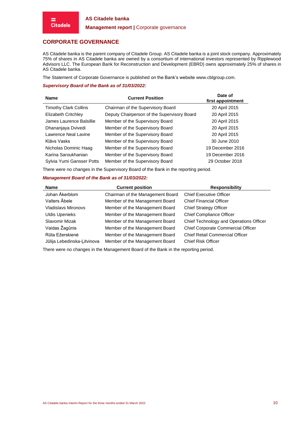=

## **Management report |** Corporate governance

# <span id="page-9-0"></span>**CORPORATE GOVERNANCE**

AS Citadele banka is the parent company of Citadele Group. AS Citadele banka is a joint stock company. Approximately 75% of shares in AS Citadele banka are owned by a consortium of international investors represented by Ripplewood Advisors LLC. The European Bank for Reconstruction and Development (EBRD) owns approximately 25% of shares in AS Citadele banka.

The Statement of Corporate Governance is published on the Bank's websit[e www.cblgroup.com.](http://www.cblgroup.com/)

#### *Supervisory Board of the Bank as of 31/03/2022:*

| <b>Name</b>                  | <b>Current Position</b>                     | Date of<br>first appointment |
|------------------------------|---------------------------------------------|------------------------------|
| <b>Timothy Clark Collins</b> | Chairman of the Supervisory Board           | 20 April 2015                |
| Elizabeth Critchley          | Deputy Chairperson of the Supervisory Board | 20 April 2015                |
| James Laurence Balsillie     | Member of the Supervisory Board             | 20 April 2015                |
| Dhananjaya Dvivedi           | Member of the Supervisory Board             | 20 April 2015                |
| Lawrence Neal Lavine         | Member of the Supervisory Board             | 20 April 2015                |
| Klāvs Vasks                  | Member of the Supervisory Board             | 30 June 2010                 |
| Nicholas Dominic Haag        | Member of the Supervisory Board             | 19 December 2016             |
| Karina Saroukhanian          | Member of the Supervisory Board             | 19 December 2016             |
| Sylvia Yumi Gansser Potts    | Member of the Supervisory Board             | 29 October 2018              |

There were no changes in the Supervisory Board of the Bank in the reporting period.

#### *Management Board of the Bank as of 31/03/2022:*

| <b>Name</b>                 | <b>Current position</b>          | <b>Responsibility</b>                   |
|-----------------------------|----------------------------------|-----------------------------------------|
| Johan Åkerblom              | Chairman of the Management Board | <b>Chief Executive Officer</b>          |
| Valters Abele               | Member of the Management Board   | <b>Chief Financial Officer</b>          |
| <b>Vladislavs Mironovs</b>  | Member of the Management Board   | <b>Chief Strategy Officer</b>           |
| <b>Uldis Upenieks</b>       | Member of the Management Board   | <b>Chief Compliance Officer</b>         |
| Slavomir Mizak              | Member of the Management Board   | Chief Technology and Operations Officer |
| Vaidas Žagūnis              | Member of the Management Board   | Chief Corporate Commercial Officer      |
| Rūta Ežerskienė             | Member of the Management Board   | Chief Retail Commercial Officer         |
| Jūlija Lebedinska-Ļitvinova | Member of the Management Board   | <b>Chief Risk Officer</b>               |

There were no changes in the Management Board of the Bank in the reporting period.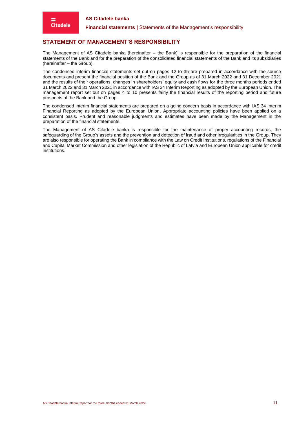**Financial statements | Statements of the Management's responsibility** 

# <span id="page-10-0"></span>**STATEMENT OF MANAGEMENT'S RESPONSIBILITY**

The Management of AS Citadele banka (hereinafter – the Bank) is responsible for the preparation of the financial statements of the Bank and for the preparation of the consolidated financial statements of the Bank and its subsidiaries (hereinafter – the Group).

The condensed interim financial statements set out on pages [12](#page-11-0) to [35](#page-34-0) are prepared in accordance with the source documents and present the financial position of the Bank and the Group as of 31 March 2022 and 31 December 2021 and the results of their operations, changes in shareholders' equity and cash flows for the three months periods ended 31 March 2022 and 31 March 2021 in accordance with IAS 34 Interim Reporting as adopted by the European Union. The management report set out on pages [4](#page-3-0) to 10 presents fairly the financial results of the reporting period and future prospects of the Bank and the Group.

The condensed interim financial statements are prepared on a going concern basis in accordance with IAS 34 Interim Financial Reporting as adopted by the European Union. Appropriate accounting policies have been applied on a consistent basis. Prudent and reasonable judgments and estimates have been made by the Management in the preparation of the financial statements.

The Management of AS Citadele banka is responsible for the maintenance of proper accounting records, the safeguarding of the Group's assets and the prevention and detection of fraud and other irregularities in the Group. They are also responsible for operating the Bank in compliance with the Law on Credit Institutions, regulations of the Financial and Capital Market Commission and other legislation of the Republic of Latvia and European Union applicable for credit institutions.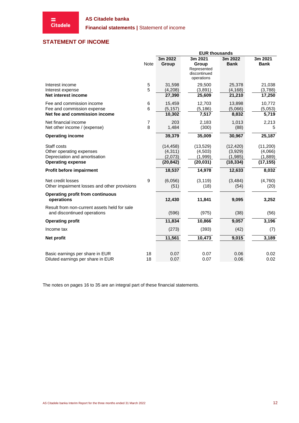**Financial statements | Statement of income** 

# <span id="page-11-0"></span>**STATEMENT OF INCOME**

|                                                                                                      |                     |                                              | <b>EUR thousands</b>                            |                                              |                                             |
|------------------------------------------------------------------------------------------------------|---------------------|----------------------------------------------|-------------------------------------------------|----------------------------------------------|---------------------------------------------|
|                                                                                                      | <b>Note</b>         | 3m 2022<br>Group                             | 3m 2021<br>Group<br>Represented<br>discontinued | 3m 2022<br><b>Bank</b>                       | 3m 2021<br><b>Bank</b>                      |
| Interest income                                                                                      | 5                   | 31,598                                       | operations<br>29,500                            | 25,378                                       | 21,038                                      |
| Interest expense<br>Net interest income                                                              | 5                   | (4,208)<br>27,390                            | (3,891)<br>25,609                               | (4, 168)<br>21,210                           | (3,788)<br>17,250                           |
| Fee and commission income<br>Fee and commission expense                                              | 6<br>6              | 15,459<br>(5, 157)                           | 12,703<br>(5, 186)                              | 13,898<br>(5,066)                            | 10,772<br>(5,053)                           |
| Net fee and commission income                                                                        |                     | 10,302                                       | 7,517                                           | 8,832                                        | 5,719                                       |
| Net financial income<br>Net other income / (expense)                                                 | $\overline{7}$<br>8 | 203<br>1,484                                 | 2,183<br>(300)                                  | 1,013<br>(88)                                | 2,213<br>5                                  |
| <b>Operating income</b>                                                                              |                     | 39,379                                       | 35,009                                          | 30,967                                       | 25,187                                      |
| Staff costs<br>Other operating expenses<br>Depreciation and amortisation<br><b>Operating expense</b> |                     | (14, 458)<br>(4,311)<br>(2,073)<br>(20, 842) | (13, 529)<br>(4,503)<br>(1,999)<br>(20, 031)    | (12, 420)<br>(3,929)<br>(1,985)<br>(18, 334) | (11,200)<br>(4,066)<br>(1,889)<br>(17, 155) |
| Profit before impairment                                                                             |                     | 18,537                                       | 14,978                                          | 12,633                                       | 8,032                                       |
| Net credit losses<br>Other impairment losses and other provisions                                    | 9                   | (6,056)<br>(51)                              | (3, 119)<br>(18)                                | (3, 484)<br>(54)                             | (4,760)<br>(20)                             |
| <b>Operating profit from continuous</b><br>operations                                                |                     | 12,430                                       | 11,841                                          | 9,095                                        | 3,252                                       |
| Result from non-current assets held for sale<br>and discontinued operations                          |                     | (596)                                        | (975)                                           | (38)                                         | (56)                                        |
| <b>Operating profit</b>                                                                              |                     | 11,834                                       | 10,866                                          | 9,057                                        | 3,196                                       |
| Income tax                                                                                           |                     | (273)                                        | (393)                                           | (42)                                         | (7)                                         |
| Net profit                                                                                           |                     | 11,561                                       | 10,473                                          | 9,015                                        | 3,189                                       |
| Basic earnings per share in EUR<br>Diluted earnings per share in EUR                                 | 18<br>18            | 0.07<br>0.07                                 | 0.07<br>0.07                                    | 0.06<br>0.06                                 | 0.02<br>0.02                                |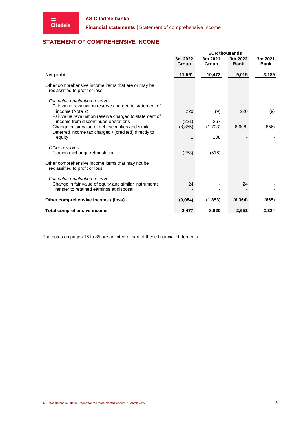**Financial statements |** Statement of comprehensive income

# <span id="page-12-0"></span>**STATEMENT OF COMPREHENSIVE INCOME**

|                                                                                          | <b>EUR thousands</b> |          |             |             |  |  |
|------------------------------------------------------------------------------------------|----------------------|----------|-------------|-------------|--|--|
|                                                                                          | 3m 2022              | 3m 2021  | 3m 2022     | 3m 2021     |  |  |
|                                                                                          | Group                | Group    | <b>Bank</b> | <b>Bank</b> |  |  |
|                                                                                          |                      |          |             |             |  |  |
| Net profit                                                                               | 11,561               | 10,473   | 9,015       | 3,189       |  |  |
| Other comprehensive income items that are or may be<br>reclassified to profit or loss:   |                      |          |             |             |  |  |
| Fair value revaluation reserve<br>Fair value revaluation reserve charged to statement of |                      |          |             |             |  |  |
| income (Note 7)                                                                          | 220                  | (9)      | 220         | (9)         |  |  |
| Fair value revaluation reserve charged to statement of                                   |                      |          |             |             |  |  |
| income from discontinued operations                                                      | (221)                | 267      |             |             |  |  |
| Change in fair value of debt securities and similar                                      | (8, 855)             | (1,703)  | (6,608)     | (856)       |  |  |
| Deferred income tax charged / (credited) directly to<br>equity                           |                      | 108      |             |             |  |  |
| Other reserves                                                                           |                      |          |             |             |  |  |
| Foreign exchange retranslation                                                           | (253)                | (516)    |             |             |  |  |
| Other comprehensive income items that may not be<br>reclassified to profit or loss:      |                      |          |             |             |  |  |
| Fair value revaluation reserve                                                           |                      |          |             |             |  |  |
| Change in fair value of equity and similar instruments                                   | 24                   |          | 24          |             |  |  |
| Transfer to retained earnings at disposal                                                |                      |          |             |             |  |  |
| Other comprehensive income / (loss)                                                      | (9,084)              | (1, 853) | (6, 364)    | (865)       |  |  |
| <b>Total comprehensive income</b>                                                        | 2,477                | 8,620    | 2,651       | 2,324       |  |  |
|                                                                                          |                      |          |             |             |  |  |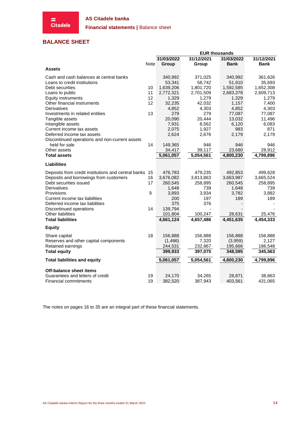

**Financial statements | Balance sheet** 

# <span id="page-13-0"></span>**BALANCE SHEET**

|                                                        |          |            | <b>EUR thousands</b> |             |            |
|--------------------------------------------------------|----------|------------|----------------------|-------------|------------|
|                                                        |          | 31/03/2022 | 31/12/2021           | 31/03/2022  | 31/12/2021 |
|                                                        | Note     | Group      | Group                | <b>Bank</b> | Bank       |
| <b>Assets</b>                                          |          |            |                      |             |            |
| Cash and cash balances at central banks                |          | 340,992    | 371,025              | 340,992     | 361,626    |
| Loans to credit institutions                           |          | 53,341     | 58,742               | 51,910      | 35,693     |
| Debt securities                                        | 10       | 1,639,206  | 1,801,720            | 1,592,585   | 1,652,308  |
| Loans to public                                        | 11       | 2,772,321  | 2,701,509            | 2,683,378   | 2,609,713  |
| <b>Equity instruments</b>                              | 12       | 1,329      | 1,279                | 1,329       | 1,279      |
| Other financial instruments                            | 12       | 32,235     | 42,032               | 1,157       | 7,400      |
| Derivatives                                            |          | 4,852      | 4,303                | 4,852       | 4,303      |
| Investments in related entities                        | 13       | 279        | 279                  | 77,087      | 77,087     |
| Tangible assets                                        |          | 20,090     | 20,444               | 13,032      | 11,496     |
| Intangible assets                                      |          | 7,931      | 8,562                | 6,120       | 6,083      |
| Current income tax assets                              |          | 2,075      | 1,927                | 983         | 871        |
| Deferred income tax assets                             |          | 2,624      | 2,676                | 2,179       | 2,179      |
| Discontinued operations and non-current assets         |          |            |                      |             |            |
| held for sale                                          | 14       | 149,365    | 946                  | 946         | 946        |
| Other assets                                           |          | 34,417     | 39,117               | 23,680      | 28,912     |
| <b>Total assets</b>                                    |          | 5,061,057  | 5,054,561            | 4,800,230   | 4,799,896  |
| <b>Liabilities</b>                                     |          |            |                      |             |            |
| Deposits from credit institutions and central banks 15 |          | 476,783    | 479,235              | 492,853     | 499,628    |
| Deposits and borrowings from customers                 | 16       | 3,676,082  | 3,813,863            | 3,663,987   | 3,665,524  |
| Debt securities issued                                 | 17       | 260,545    | 258,895              | 260,545     | 258,895    |
| Derivatives                                            |          | 1,648      | 739                  | 1,648       | 739        |
| Provisions                                             | 9        | 3,893      | 3,934                | 3,782       | 3,882      |
| Current income tax liabilities                         |          | 200        | 197                  | 189         | 189        |
| Deferred income tax liabilities                        |          | 375        | 376                  |             |            |
| Discontinued operations                                | 14       | 139,794    |                      |             |            |
| <b>Other liabilities</b>                               |          | 101,804    | 100,247              | 28,631      | 25,476     |
| <b>Total liabilities</b>                               |          | 4,661,124  | 4,657,486            | 4,451,635   | 4,454,333  |
| <b>Equity</b>                                          |          |            |                      |             |            |
| Share capital                                          | 18       | 156,888    | 156,888              | 156,888     | 156,888    |
| Reserves and other capital components                  |          | (1,486)    | 7,320                | (3,959)     | 2,127      |
| Retained earnings                                      |          | 244,531    | 232,867              | 195,666     | 186,548    |
| <b>Total equity</b>                                    |          | 399,933    | 397,075              | 348,595     | 345,563    |
| <b>Total liabilities and equity</b>                    |          | 5,061,057  | 5,054,561            | 4,800,230   | 4,799,896  |
|                                                        |          |            |                      |             |            |
| Off-balance sheet items                                |          |            |                      |             |            |
| Guarantees and letters of credit                       | 19<br>19 | 24,170     | 34,265               | 28,871      | 38,863     |
| <b>Financial commitments</b>                           |          | 382,520    | 387,943              | 403,561     | 431,065    |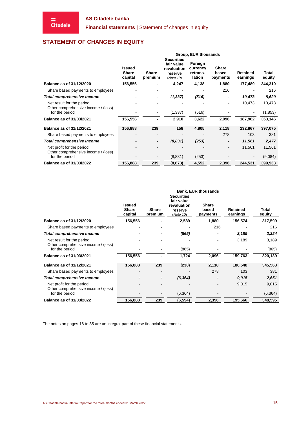# <span id="page-14-0"></span>**STATEMENT OF CHANGES IN EQUITY**

|                                                                  | Group, EUR thousands              |                         |                                                                        |                                           |                                   |                             |                 |
|------------------------------------------------------------------|-----------------------------------|-------------------------|------------------------------------------------------------------------|-------------------------------------------|-----------------------------------|-----------------------------|-----------------|
|                                                                  | Issued<br><b>Share</b><br>capital | <b>Share</b><br>premium | <b>Securities</b><br>fair value<br>revaluation<br>reserve<br>(Note 10) | Foreign<br>currency<br>retrans-<br>lation | <b>Share</b><br>based<br>payments | <b>Retained</b><br>earnings | Total<br>equity |
| <b>Balance as of 31/12/2020</b>                                  | 156,556                           |                         | 4,247                                                                  | 4,138                                     | 1,880                             | 177,489                     | 344,310         |
| Share based payments to employees                                |                                   |                         |                                                                        |                                           | 216                               |                             | 216             |
| Total comprehensive income                                       |                                   |                         | (1, 337)                                                               | (516)                                     |                                   | 10,473                      | 8,620           |
| Net result for the period<br>Other comprehensive income / (loss) |                                   |                         |                                                                        |                                           |                                   | 10,473                      | 10,473          |
| for the period                                                   |                                   |                         | (1, 337)                                                               | (516)                                     |                                   |                             | (1, 853)        |
| <b>Balance as of 31/03/2021</b>                                  | 156,556                           | $\blacksquare$          | 2,910                                                                  | 3,622                                     | 2,096                             | 187,962                     | 353,146         |
| <b>Balance as of 31/12/2021</b>                                  | 156,888                           | 239                     | 158                                                                    | 4,805                                     | 2,118                             | 232,867                     | 397,075         |
| Share based payments to employees                                |                                   | ٠                       |                                                                        |                                           | 278                               | 103                         | 381             |
| Total comprehensive income                                       |                                   | $\blacksquare$          | (8,831)                                                                | (253)                                     | $\overline{\phantom{a}}$          | 11,561                      | 2,477           |
| Net profit for the period<br>Other comprehensive income / (loss) |                                   |                         |                                                                        |                                           |                                   | 11,561                      | 11,561          |
| for the period                                                   |                                   |                         | (8,831)                                                                | (253)                                     |                                   |                             | (9,084)         |
| <b>Balance as of 31/03/2022</b>                                  | 156,888                           | 239                     | (8, 673)                                                               | 4,552                                     | 2,396                             | 244.531                     | 399,933         |

|                                                                  | <b>Bank, EUR thousands</b>               |                         |                                                                        |                                   |                      |                 |  |  |  |
|------------------------------------------------------------------|------------------------------------------|-------------------------|------------------------------------------------------------------------|-----------------------------------|----------------------|-----------------|--|--|--|
|                                                                  | <b>Issued</b><br><b>Share</b><br>capital | <b>Share</b><br>premium | <b>Securities</b><br>fair value<br>revaluation<br>reserve<br>(Note 10) | <b>Share</b><br>based<br>payments | Retained<br>earnings | Total<br>equity |  |  |  |
| <b>Balance as of 31/12/2020</b>                                  | 156,556                                  |                         | 2,589                                                                  | 1,880                             | 156,574              | 317,599         |  |  |  |
| Share based payments to employees                                |                                          |                         |                                                                        | 216                               |                      | 216             |  |  |  |
| <b>Total comprehensive income</b>                                |                                          |                         | (865)                                                                  |                                   | 3,189                | 2,324           |  |  |  |
| Net result for the period<br>Other comprehensive income / (loss) |                                          |                         |                                                                        |                                   | 3,189                | 3,189           |  |  |  |
| for the period                                                   |                                          |                         | (865)                                                                  |                                   |                      | (865)           |  |  |  |
| <b>Balance as of 31/03/2021</b>                                  | 156,556                                  |                         | 1,724                                                                  | 2,096                             | 159,763              | 320,139         |  |  |  |
| <b>Balance as of 31/12/2021</b>                                  | 156,888                                  | 239                     | (230)                                                                  | 2,118                             | 186,548              | 345,563         |  |  |  |
| Share based payments to employees                                | $\blacksquare$                           |                         |                                                                        | 278                               | 103                  | 381             |  |  |  |
| <b>Total comprehensive income</b>                                |                                          |                         | (6, 364)                                                               |                                   | 9,015                | 2,651           |  |  |  |
| Net profit for the period<br>Other comprehensive income / (loss) |                                          |                         |                                                                        |                                   | 9,015                | 9,015           |  |  |  |
| for the period                                                   |                                          |                         | (6, 364)                                                               |                                   |                      | (6, 364)        |  |  |  |
| <b>Balance as of 31/03/2022</b>                                  | 156,888                                  | 239                     | (6,594)                                                                | 2,396                             | 195,666              | 348,595         |  |  |  |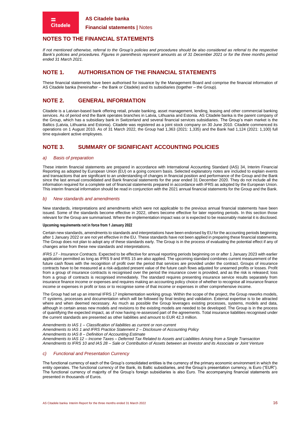**Financial statements |** Notes

# <span id="page-15-0"></span>**NOTES TO THE FINANCIAL STATEMENTS**

*If not mentioned otherwise, referral to the Group's policies and procedures should be also considered as referral to the respective Bank's policies and procedures. Figures in parenthesis represent amounts as of 31 December 2021 or for the three months period ended 31 March 2021.*

# **NOTE 1. AUTHORISATION OF THE FINANCIAL STATEMENTS**

These financial statements have been authorised for issuance by the Management Board and comprise the financial information of AS Citadele banka (hereinafter – the Bank or Citadele) and its subsidiaries (together – the Group).

# **NOTE 2. GENERAL INFORMATION**

Citadele is a Latvian-based bank offering retail, private banking, asset management, lending, leasing and other commercial banking services. As of period end the Bank operates branches in Latvia, Lithuania and Estonia. AS Citadele banka is the parent company of the Group, which has a subsidiary bank in Switzerland and several financial services subsidiaries. The Group's main market is the Baltics (Latvia, Lithuania and Estonia). Citadele was registered as a joint stock company on 30 June 2010. Citadele commenced its operations on 1 August 2010. As of 31 March 2022, the Group had 1,363 (2021: 1,335) and the Bank had 1,124 (2021: 1,100) full time equivalent active employees.

# **NOTE 3. SUMMARY OF SIGNIFICANT ACCOUNTING POLICIES**

#### *a) Basis of preparation*

**Citadele** 

These interim financial statements are prepared in accordance with International Accounting Standard (IAS) 34, Interim Financial Reporting as adopted by European Union (EU) on a going concern basis. Selected explanatory notes are included to explain events and transactions that are significant to an understanding of changes in financial position and performance of the Group and the Bank since the last annual consolidated and Bank financial statements for the year ended 31 December 2020. They do not include all the information required for a complete set of financial statements prepared in accordance with IFRS as adopted by the European Union. This interim financial information should be read in conjunction with the 2021 annual financial statements for the Group and the Bank.

#### *b) New standards and amendments*

New standards, interpretations and amendments which were not applicable to the previous annual financial statements have been issued. Some of the standards become effective in 2022, others become effective for later reporting periods. In this section those relevant for the Group are summarised. Where the implementation impact was or is expected to be reasonably material it is disclosed.

#### **Upcoming requirements not in force from 1 January 2022**

Certain new standards, amendments to standards and interpretations have been endorsed by EU for the accounting periods beginning after 1 January 2022 or are not yet effective in the EU. These standards have not been applied in preparing these financial statements. The Group does not plan to adopt any of these standards early. The Group is in the process of evaluating the potential effect if any of changes arise from these new standards and interpretations.

*IFRS 17 - Insurance Contracts.* Expected to be effective for annual reporting periods beginning on or after 1 January 2023 with earlier application permitted as long as IFRS 9 and IFRS 15 are also applied. The upcoming standard combines current measurement of the future cash flows with the recognition of profit over the period that services are provided under the contract. Groups of insurance contracts have to be measured at a risk-adjusted present value of the future cash flows adjusted for unearned profits or losses. Profit from a group of insurance contracts is recognised over the period the insurance cover is provided, and as the risk is released; loss from a group of contracts is recognised immediately. The standard requires presenting insurance service results separately from insurance finance income or expenses and requires making an accounting policy choice of whether to recognise all insurance finance income or expenses in profit or loss or to recognise some of that income or expenses in other comprehensive income.

The Group had set up an internal IFRS 17 implementation working group. Within the scope of the project, the Group reworks models, IT systems, processes and documentation which will be followed by final testing and validation. External expertise is to be attracted where and when deemed necessary. As much as possible the Group leverages existing processes, systems, models and data, although in certain areas new models and revisions to the existing models are needed to be developed. The Group is in the process of quantifying the expected impact, as of now having re-assessed part of the agreements. Total insurance liabilities recognised under the current standards are presented as other liabilities and amount to EUR 42.3 million.

*Amendments to IAS 1 – Classification of liabilities as current or non-current Amendments to IAS 1 and IFRS Practice Statement 2 – Disclosure of Accounting Policy Amendments to IAS 8 – Definition of Accounting Estimate Amendments to IAS 12 – Income Taxes – Deferred Tax Related to Assets and Liabilities Arising from a Single Transaction Amendments to IFRS 10 and IAS 28 – Sale or Contribution of Assets between an Investor and its Associate or Joint Venture*

#### *c) Functional and Presentation Currency*

The functional currency of each of the Group's consolidated entities is the currency of the primary economic environment in which the entity operates. The functional currency of the Bank, its Baltic subsidiaries, and the Group's presentation currency, is Euro ("EUR"). The functional currency of majority of the Group's foreign subsidiaries is also Euro. The accompanying financial statements are presented in thousands of Euros.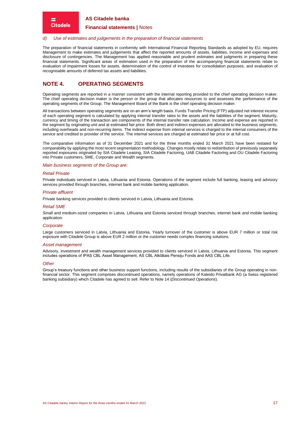#### **Financial statements |** Notes

#### *d) Use of estimates and judgements in the preparation of financial statements*

The preparation of financial statements in conformity with International Financial Reporting Standards as adopted by EU, requires Management to make estimates and judgements that affect the reported amounts of assets, liabilities, income and expenses and disclosure of contingencies. The Management has applied reasonable and prudent estimates and judgments in preparing these financial statements. Significant areas of estimation used in the preparation of the accompanying financial statements relate to evaluation of impairment losses for assets, determination of the control of investees for consolidation purposes, and evaluation of recognisable amounts of deferred tax assets and liabilities.

# **NOTE 4. OPERATING SEGMENTS**

Operating segments are reported in a manner consistent with the internal reporting provided to the chief operating decision maker. The chief operating decision maker is the person or the group that allocates resources to and assesses the performance of the operating segments of the Group. The Management Board of the Bank is the chief operating decision maker.

All transactions between operating segments are on an arm's length basis. Funds Transfer Pricing (FTP) adjusted net interest income of each operating segment is calculated by applying internal transfer rates to the assets and the liabilities of the segment. Maturity, currency and timing of the transaction are components of the internal transfer rate calculation. Income and expense are reported in the segment by originating unit and at estimated fair price. Both direct and indirect expenses are allocated to the business segments, including overheads and non-recurring items. The indirect expense from internal services is charged to the internal consumers of the service and credited to provider of the service. The internal services are charged at estimated fair price or at full cost.

The comparative information as of 31 December 2021 and for the three months ended 31 March 2021 have been restated for comparability by applying the most recent segmentation methodology. Changes mostly relate to redistribution of previously separately reported exposures originated by SIA Citadele Leasing, SIA Citadele Factoring, UAB Citadele Factoring and OU Citadele Factoring into Private customers, SME, Corporate and Wealth segments.

#### *Main business segments of the Group are:*

#### *Retail Private*

► **Citadele** 

Private individuals serviced in Latvia, Lithuania and Estonia. Operations of the segment include full banking, leasing and advisory services provided through branches, internet bank and mobile banking application.

#### *Private affluent*

Private banking services provided to clients serviced in Latvia, Lithuania and Estonia.

#### *Retail SME*

Small and medium-sized companies in Latvia, Lithuania and Estonia serviced through branches, internet bank and mobile banking application.

#### *Corporate*

Large customers serviced in Latvia, Lithuania and Estonia. Yearly turnover of the customer is above EUR 7 million or total risk exposure with Citadele Group is above EUR 2 million or the customer needs complex financing solutions.

#### *Asset management*

Advisory, investment and wealth management services provided to clients serviced in Latvia, Lithuania and Estonia. This segment includes operations of IPAS CBL Asset Management, AS CBL Atklātais Pensiju Fonds and AAS CBL Life.

#### *Other*

Group's treasury functions and other business support functions, including results of the subsidiaries of the Group operating in nonfinancial sector. This segment comprises discontinued operations, namely operations of Kaleido Privatbank AG (a Swiss registered banking subsidiary) which Citadele has agreed to sell. Refer to [Note 14](#page-25-0) (*[Discontinued Operations](#page-25-0)*).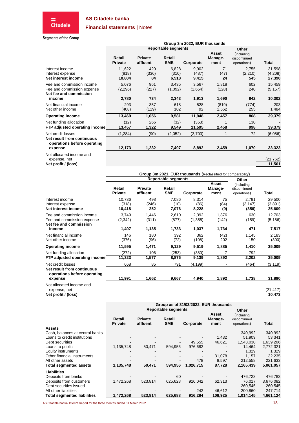

# **Financial statements |** Notes

#### **Segments of the Group**

|                                                                                   | Group 3m 2022, EUR thousands |                            |                            |                         |                          |                                           |                             |
|-----------------------------------------------------------------------------------|------------------------------|----------------------------|----------------------------|-------------------------|--------------------------|-------------------------------------------|-----------------------------|
|                                                                                   |                              |                            | <b>Reportable segments</b> |                         |                          | Other                                     |                             |
|                                                                                   | Retail<br><b>Private</b>     | <b>Private</b><br>affluent | Retail<br><b>SME</b>       | Corporate               | Asset<br>Manage-<br>ment | (including<br>discontinued<br>operations) | Total                       |
| Interest income<br>Interest expense<br>Net interest income                        | 11,622<br>(818)<br>10,804    | 420<br>(336)<br>84         | 6,828<br>(310)<br>6,518    | 9,902<br>(487)<br>9,415 | 71<br>(47)<br>24         | 2,755<br>(2,210)<br>545                   | 31,598<br>(4,208)<br>27,390 |
| Fee and commission income<br>Fee and commission expense<br>Net fee and commission | 5,076<br>(2,296)             | 961<br>(227)               | 3,435<br>(1,092)           | 3,567<br>(1,654)        | 1,818<br>(128)           | 602<br>240                                | 15,459<br>(5, 157)          |
| income                                                                            | 2,780                        | 734                        | 2,343                      | 1,913                   | 1,690                    | 842                                       | 10,302                      |
| Net financial income<br>Net other income                                          | 293<br>(408)                 | 357<br>(119)               | 618<br>102                 | 528<br>92               | (819)<br>1,562           | (774)<br>255                              | 203<br>1,484                |
| <b>Operating income</b>                                                           | 13,469                       | 1,056                      | 9,581                      | 11,948                  | 2,457                    | 868                                       | 39,379                      |
| Net funding allocation<br>FTP adjusted operating income                           | (12)<br>13,457               | 266<br>1,322               | (32)<br>9,549              | (353)<br>11,595         | 2,458                    | 130<br>998                                | 39,379                      |
| Net credit losses                                                                 | (1, 284)                     | (90)                       | (2,052)                    | (2,703)                 |                          | 72                                        | (6,056)                     |
| Net result from continuous<br>operations before operating<br>expense              | 12,173                       | 1,232                      | 7,497                      | 8,892                   | 2,459                    | 1,070                                     | 33,323                      |
| Not allocated income and<br>expense, net                                          |                              |                            |                            |                         |                          |                                           | (21, 762)                   |

**Net profit / (loss) 11,561**

|                                                                                             |                           |                         |                            |                            | Group 3m 2021, EUR thousands (Reclassified for comparability) |                                           |                             |
|---------------------------------------------------------------------------------------------|---------------------------|-------------------------|----------------------------|----------------------------|---------------------------------------------------------------|-------------------------------------------|-----------------------------|
|                                                                                             |                           |                         | <b>Reportable segments</b> |                            |                                                               | Other                                     |                             |
|                                                                                             | Retail<br><b>Private</b>  | Private<br>affluent     | Retail<br><b>SME</b>       | Corporate                  | <b>Asset</b><br>Manage-<br>ment                               | (including<br>discontinued<br>operations) | Total                       |
| Interest income<br>Interest expense<br>Net interest income                                  | 10,736<br>(318)<br>10,418 | 498<br>(246)<br>252     | 7,086<br>(10)<br>7,076     | 8,314<br>(86)<br>8,228     | 75<br>(84)<br>(9)                                             | 2,791<br>(3, 147)<br>(356)                | 29,500<br>(3,891)<br>25,609 |
| Fee and commission income<br>Fee and commission expense<br>Net fee and commission<br>income | 3,749<br>(2,342)<br>1,407 | 1,446<br>(311)<br>1,135 | 2,610<br>(877)<br>1,733    | 2,392<br>(1, 355)<br>1,037 | 1,876<br>(142)<br>1,734                                       | 630<br>(159)<br>471                       | 12,703<br>(5, 186)<br>7,517 |
| Net financial income<br>Net other income                                                    | 146<br>(376)              | 180<br>(96)             | 392<br>(72)                | 362<br>(108)               | (42)<br>202                                                   | 1,145<br>150                              | 2,183<br>(300)              |
| <b>Operating income</b>                                                                     | 11,595                    | 1,471                   | 9,129                      | 9,519                      | 1,885                                                         | 1,410                                     | 35,009                      |
| Net funding allocation<br>FTP adjusted operating income                                     | (272)<br>11,323           | 106<br>1,577            | (253)<br>8,876             | (380)<br>9,139             | 1,892                                                         | 792<br>2,202                              | 35,009                      |
| Net credit losses<br>Net result from continuous<br>operations before operating<br>expense   | 668<br>11,991             | 85<br>1,662             | 791<br>9,667               | (4,199)<br>4,940           | 1,892                                                         | (464)<br>1,738                            | (3, 119)<br>31,890          |
| hnt allocated income and                                                                    |                           |                         |                            |                            |                                                               |                                           |                             |

ated income and

expense, net (21,417) (21,417) (21,417) (21,417) (21,417) **Net profit / (loss)** 

|                                    | Group as of 31/03/2022, EUR thousands |                            |                      |           |                          |                                           |           |  |
|------------------------------------|---------------------------------------|----------------------------|----------------------|-----------|--------------------------|-------------------------------------------|-----------|--|
|                                    |                                       | <b>Reportable segments</b> | Other                |           |                          |                                           |           |  |
|                                    | Retail<br><b>Private</b>              | <b>Private</b><br>affluent | Retail<br><b>SME</b> | Corporate | Asset<br>Manage-<br>ment | (including<br>discontinued<br>operations) | Total     |  |
| Assets                             |                                       |                            |                      |           |                          |                                           |           |  |
| Cash. balances at central banks    |                                       |                            |                      |           |                          | 340,992                                   | 340,992   |  |
| Loans to credit institutions       |                                       |                            |                      |           | 1,432                    | 51,909                                    | 53,341    |  |
| Debt securities                    |                                       |                            |                      | 49.555    | 46,621                   | 1,543,030                                 | 1,639,206 |  |
| Loans to public                    | 1,135,748                             | 50.471                     | 594.956              | 976.682   |                          | 14.464                                    | 2,772,321 |  |
| <b>Equity instruments</b>          |                                       |                            |                      |           |                          | 1,329                                     | 1,329     |  |
| Other financial instruments        |                                       |                            |                      |           | 31,078                   | 1,157                                     | 32,235    |  |
| All other assets                   |                                       |                            |                      | 478       | 8,597                    | 212,558                                   | 221,633   |  |
| Total segmented assets             | 1,135,748                             | 50,471                     | 594,956              | 1,026,715 | 87,728                   | 2,165,439                                 | 5,061,057 |  |
| Liabilities                        |                                       |                            |                      |           |                          |                                           |           |  |
| Deposits from banks                |                                       |                            | 60                   |           |                          | 476.723                                   | 476,783   |  |
| Deposits from customers            | 1,472,268                             | 523,814                    | 625,628              | 916.042   | 62,313                   | 76,017                                    | 3,676,082 |  |
| Debt securities issued             |                                       |                            |                      |           |                          | 260.545                                   | 260,545   |  |
| All other liabilities              |                                       |                            |                      | 242       | 46,612                   | 200,860                                   | 247,714   |  |
| <b>Total segmented liabilities</b> | 1,472,268                             | 523,814                    | 625,688              | 916,284   | 108,925                  | 1,014,145                                 | 4,661,124 |  |

AS Citadele banka Interim Report for the three months ended 31 March 2022 18 and 2022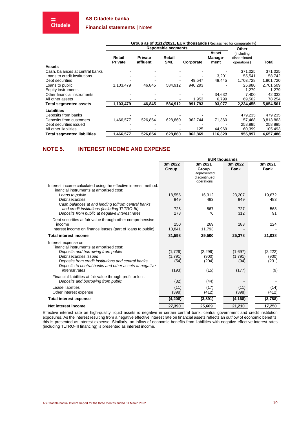$\equiv$ <br>Citadele

#### **Financial statements |** Notes

|                                    |                          |                            | Group as of 31/12/2021, EUR thousands (Reclassified for comparability) |           |                          |                                           |           |
|------------------------------------|--------------------------|----------------------------|------------------------------------------------------------------------|-----------|--------------------------|-------------------------------------------|-----------|
|                                    |                          |                            | <b>Reportable segments</b>                                             |           |                          | Other                                     |           |
|                                    | Retail<br><b>Private</b> | <b>Private</b><br>affluent | Retail<br><b>SME</b>                                                   | Corporate | Asset<br>Manage-<br>ment | (including<br>discontinued<br>operations) | Total     |
| <b>Assets</b>                      |                          |                            |                                                                        |           |                          |                                           |           |
| Cash, balances at central banks    |                          |                            |                                                                        |           |                          | 371,025                                   | 371,025   |
| Loans to credit institutions       |                          |                            |                                                                        |           | 3,201                    | 55.541                                    | 58,742    |
| Debt securities                    |                          |                            |                                                                        | 49.547    | 48,445                   | 1,703,728                                 | 1,801,720 |
| Loans to public                    | 1,103,479                | 46,845                     | 584,912                                                                | 940,293   |                          | 25,980                                    | 2,701,509 |
| Equity instruments                 |                          |                            |                                                                        |           |                          | 1,279                                     | 1,279     |
| Other financial instruments        |                          |                            |                                                                        |           | 34,632                   | 7,400                                     | 42,032    |
| All other assets                   |                          |                            |                                                                        | 1,953     | 6,799                    | 69,502                                    | 78,254    |
| <b>Total segmented assets</b>      | 1,103,479                | 46,845                     | 584,912                                                                | 991,793   | 93,077                   | 2,234,455                                 | 5,054,561 |
| <b>Liabilities</b>                 |                          |                            |                                                                        |           |                          |                                           |           |
| Deposits from banks                |                          |                            |                                                                        |           |                          | 479,235                                   | 479,235   |
| Deposits from customers            | 1,466,577                | 526.854                    | 628.860                                                                | 962.744   | 71,360                   | 157.468                                   | 3,813,863 |
| Debt securities issued             |                          |                            |                                                                        |           |                          | 258.895                                   | 258,895   |
| All other liabilities              |                          |                            |                                                                        | 125       | 44,969                   | 60,399                                    | 105,493   |
| <b>Total segmented liabilities</b> | 1,466,577                | 526,854                    | 628,860                                                                | 962.869   | 116,329                  | 955,997                                   | 4,657,486 |

# **NOTE 5. INTEREST INCOME AND EXPENSE**

|                                                                                                                                    | <b>EUR thousands</b> |                                                 |                        |                        |
|------------------------------------------------------------------------------------------------------------------------------------|----------------------|-------------------------------------------------|------------------------|------------------------|
|                                                                                                                                    | 3m 2022<br>Group     | 3m 2021<br>Group<br>Represented<br>discontinued | 3m 2022<br><b>Bank</b> | 3m 2021<br><b>Bank</b> |
| Interest income calculated using the effective interest method:<br>Financial instruments at amortised cost:                        |                      | operations                                      |                        |                        |
| Loans to public<br>Debt securities<br>Cash balances at and lending to/from central banks                                           | 18,555<br>949        | 16,312<br>483                                   | 23,207<br>949          | 19,672<br>483          |
| and credit institutions (including TLTRO-III)<br>Deposits from public at negative interest rates                                   | 725<br>278           | 567<br>76                                       | 727<br>312             | 568<br>91              |
| Debt securities at fair value through other comprehensive<br>income<br>Interest income on finance leases (part of loans to public) | 250<br>10,841        | 269<br>11,793                                   | 183                    | 224                    |
| <b>Total interest income</b>                                                                                                       | 31,598               | 29,500                                          | 25,378                 | 21,038                 |
| Interest expense on:<br>Financial instruments at amortised cost:                                                                   |                      |                                                 |                        |                        |
| Deposits and borrowing from public<br>Debt securities issued                                                                       | (1,729)<br>(1,791)   | (2, 299)<br>(900)                               | (1,697)<br>(1,791)     | (2, 222)<br>(900)      |
| Deposits from credit institutions and central banks<br>Deposits to central banks and other assets at negative                      | (54)                 | (204)                                           | (94)                   | (231)                  |
| interest rates                                                                                                                     | (193)                | (15)                                            | (177)                  | (9)                    |
| Financial liabilities at fair value through profit or loss<br>Deposits and borrowing from public                                   | (32)                 | (44)                                            |                        |                        |
| Lease liabilities<br>Other interest expense                                                                                        | (11)<br>(398)        | (17)<br>(412)                                   | (11)<br>(398)          | (14)<br>(412)          |
| <b>Total interest expense</b>                                                                                                      | (4, 208)             | (3,891)                                         | (4, 168)               | (3,788)                |
| Net interest income                                                                                                                | 27.390               | 25.609                                          | 21.210                 | 17.250                 |

Effective interest rate on high-quality liquid assets is negative in certain central bank, central government and credit institution exposures. As the interest resulting from a negative effective interest rate on financial assets reflects an outflow of economic benefits, this is presented as interest expense. Similarly, an inflow of economic benefits from liabilities with negative effective interest rates (including TLTRO-III financing) is presented as interest income.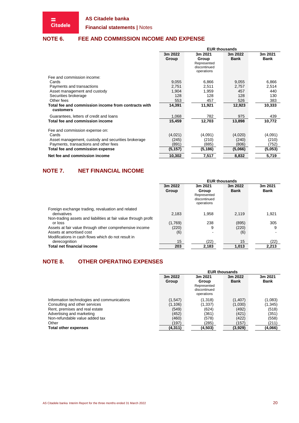$\equiv$ <br>Citadele

**Financial statements |** Notes

# **NOTE 6. FEE AND COMMISSION INCOME AND EXPENSE**

|                                                                  | <b>EUR thousands</b>                     |              |             |             |  |  |
|------------------------------------------------------------------|------------------------------------------|--------------|-------------|-------------|--|--|
|                                                                  | 3m 2022<br>3m 2021<br>3m 2021<br>3m 2022 |              |             |             |  |  |
|                                                                  | Group                                    | Group        | <b>Bank</b> | <b>Bank</b> |  |  |
|                                                                  |                                          | Represented  |             |             |  |  |
|                                                                  |                                          | discontinued |             |             |  |  |
|                                                                  |                                          | operations   |             |             |  |  |
| Fee and commission income:                                       |                                          |              |             |             |  |  |
| Cards                                                            | 9,055                                    | 6,866        | 9,055       | 6,866       |  |  |
| Payments and transactions                                        | 2,751                                    | 2,511        | 2.757       | 2,514       |  |  |
| Asset management and custody                                     | 1,904                                    | 1,959        | 457         | 440         |  |  |
| Securities brokerage                                             | 128                                      | 128          | 128         | 130         |  |  |
| Other fees                                                       | 553                                      | 457          | 526         | 383         |  |  |
| Total fee and commission income from contracts with<br>customers | 14,391                                   | 11,921       | 12,923      | 10,333      |  |  |
| Guarantees, letters of credit and loans                          | 1,068                                    | 782          | 975         | 439         |  |  |
| Total fee and commission income                                  | 15,459                                   | 12,703       | 13,898      | 10,772      |  |  |
| Fee and commission expense on:                                   |                                          |              |             |             |  |  |
| Cards                                                            | (4,021)                                  | (4,091)      | (4,020)     | (4,091)     |  |  |
| Asset management, custody and securities brokerage               | (245)                                    | (210)        | (240)       | (210)       |  |  |
| Payments, transactions and other fees                            | (891)                                    | (885)        | (806)       | (752)       |  |  |
| Total fee and commission expense                                 | (5, 157)                                 | (5, 186)     | (5,066)     | (5,053)     |  |  |
| Net fee and commission income                                    | 10,302                                   | 7,517        | 8,832       | 5,719       |  |  |

# <span id="page-19-0"></span>**NOTE 7. NET FINANCIAL INCOME**

|                                                                                                                                       | <b>EUR thousands</b> |                                                               |                        |                        |  |  |
|---------------------------------------------------------------------------------------------------------------------------------------|----------------------|---------------------------------------------------------------|------------------------|------------------------|--|--|
|                                                                                                                                       | 3m 2022<br>Group     | 3m 2021<br>Group<br>Represented<br>discontinued<br>operations | 3m 2022<br><b>Bank</b> | 3m 2021<br><b>Bank</b> |  |  |
| Foreign exchange trading, revaluation and related<br>derivatives                                                                      | 2,183                | 1.958                                                         | 2.119                  | 1,921                  |  |  |
| Non-trading assets and liabilities at fair value through profit<br>or loss<br>Assets at fair value through other comprehensive income | (1,769)<br>(220)     | 238<br>9                                                      | (895)<br>(220)         | 305<br>9               |  |  |
| Assets at amortised cost<br>Modifications in cash flows which do not result in                                                        | (6)                  |                                                               | (6)                    |                        |  |  |
| derecognition<br><b>Total net financial income</b>                                                                                    | 15<br>203            | (22)<br>2,183                                                 | 15<br>1,013            | (22)<br>2,213          |  |  |

# **NOTE 8. OTHER OPERATING EXPENSES**

|                                             |          | <b>EUR thousands</b> |             |          |  |  |  |
|---------------------------------------------|----------|----------------------|-------------|----------|--|--|--|
|                                             | 3m 2022  | 3m 2021              | 3m 2022     | 3m 2021  |  |  |  |
|                                             | Group    | Group                | <b>Bank</b> | Bank     |  |  |  |
|                                             |          | Represented          |             |          |  |  |  |
|                                             |          | discontinued         |             |          |  |  |  |
|                                             |          | operations           |             |          |  |  |  |
| Information technologies and communications | (1, 547) | (1,318)              | (1, 407)    | (1,083)  |  |  |  |
| Consulting and other services               | (1, 106) | (1, 337)             | (1,030)     | (1, 345) |  |  |  |
| Rent, premises and real estate              | (549)    | (624)                | (492)       | (518)    |  |  |  |
| Advertising and marketing                   | (452)    | (361)                | (421)       | (351)    |  |  |  |
| Non-refundable value added tax              | (460)    | (578)                | (422)       | (558)    |  |  |  |
| Other                                       | (197)    | (285)                | (157)       | (211)    |  |  |  |
| <b>Total other expenses</b>                 | (4, 311) | (4,503)              | (3,929)     | (4,066)  |  |  |  |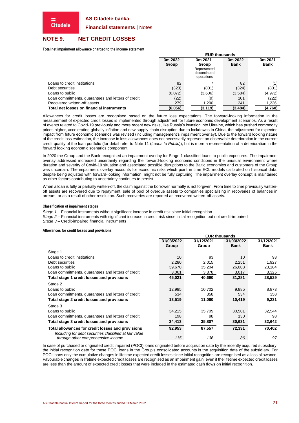**Financial statements |** Notes

# **NOTE 9. NET CREDIT LOSSES**

**Citadele** 

**Total net impairment allowance charged to the income statement**

|                                                    |         | <b>EUR thousands</b>                               |             |             |  |  |  |
|----------------------------------------------------|---------|----------------------------------------------------|-------------|-------------|--|--|--|
|                                                    | 3m 2022 | 3m 2021                                            | 3m 2022     | 3m 2021     |  |  |  |
|                                                    | Group   | Group<br>Represented<br>discontinued<br>operations | <b>Bank</b> | <b>Bank</b> |  |  |  |
| Loans to credit institutions                       | 82      |                                                    | 82          |             |  |  |  |
| Debt securities                                    | (323)   | (801)                                              | (324)       | (801)       |  |  |  |
| Loans to public                                    | (6,072) | (3,606)                                            | (3,584)     | (4,972)     |  |  |  |
| Loan commitments, guarantees and letters of credit | (22)    | (9)                                                | 101         | (222)       |  |  |  |
| Recovered written-off assets                       | 279     | 1,290                                              | 241         | 1,236       |  |  |  |
| Total net losses on financial instruments          | (6,056) | (3,119)                                            | (3, 484)    | (4,760)     |  |  |  |

Allowances for credit losses are recognised based on the future loss expectations. The forward-looking information in the measurement of expected credit losses is implemented through adjustment for future economic development scenarios. As a result of events related to Covid-19 previously and more recent new risks, like Russia's invasion into Ukraine, which has pushed commodity prices higher, accelerating globally inflation and new supply chain disruption due to lockdowns in China, the adjustment for expected impact from future economic scenarios was revised (including management's impairment overlay). Due to the forward looking nature of the credit loss estimation, the increase in loss allowances does not necessarily represent an observable deterioration in the current credit quality of the loan portfolio (for detail refer to [Note 11](#page-22-0) (*[Loans to](#page-22-0) Public*)), but is more a representation of a deterioration in the forward looking economic scenarios component.

In 2020 the Group and the Bank recognised an impairment overlay for Stage 1 classified loans to public exposures. The impairment overlay addressed increased uncertainty regarding the forward-looking economic conditions in the unusual environment where duration and severity of Covid-19 situation and associated possible disruptions to the Baltic economies and customers of the Group was uncertain. The impairment overlay accounts for economic risks which point in time ECL models calibrated on historical data, despite being adjusted with forward-looking information, might not be fully capturing. The impairment overlay concept is maintained as other factors contributing to uncertainty continues to persist.

When a loan is fully or partially written-off, the claim against the borrower normally is not forgiven. From time to time previously writtenoff assets are recovered due to repayment, sale of pool of overdue assets to companies specialising in recoveries of balances in arrears, or as a result of other resolution. Such recoveries are reported as recovered written-off assets.

#### **Classification of impairment stages**

*Stage 1* – Financial instruments without significant increase in credit risk since initial recognition

*Stage 2* – Financial instruments with significant increase in credit risk since initial recognition but not credit-impaired

*Stage 3* – Credit-impaired financial instruments

#### **Allowances for credit losses and provisions**

|                                                                                                             |                     | <b>EUR thousands</b> |                           |                           |
|-------------------------------------------------------------------------------------------------------------|---------------------|----------------------|---------------------------|---------------------------|
|                                                                                                             | 31/03/2022<br>Group | 31/12/2021<br>Group  | 31/03/2022<br><b>Bank</b> | 31/12/2021<br><b>Bank</b> |
| Stage 1                                                                                                     |                     |                      |                           |                           |
| Loans to credit institutions                                                                                | 10                  | 93                   | 10                        | 93                        |
| Debt securities                                                                                             | 2,280               | 2,015                | 2,251                     | 1,927                     |
| Loans to public                                                                                             | 39,670              | 35,204               | 26,003                    | 23,184                    |
| Loan commitments, guarantees and letters of credit                                                          | 3,061               | 3,378                | 3,017                     | 3,325                     |
| Total stage 1 credit losses and provisions                                                                  | 45,021              | 40,690               | 31,281                    | 28,529                    |
| Stage 2                                                                                                     |                     |                      |                           |                           |
| Loans to public                                                                                             | 12,985              | 10,702               | 9,885                     | 8,873                     |
| Loan commitments, guarantees and letters of credit                                                          | 534                 | 358                  | 534                       | 358                       |
| Total stage 2 credit losses and provisions                                                                  | 13,519              | 11,060               | 10,419                    | 9,231                     |
| Stage 3                                                                                                     |                     |                      |                           |                           |
| Loans to public                                                                                             | 34,215              | 35,709               | 30,501                    | 32,544                    |
| Loan commitments, guarantees and letters of credit                                                          | 198                 | 98                   | 130                       | 98                        |
| Total stage 3 credit losses and provisions                                                                  | 34,413              | 35,807               | 30,631                    | 32,642                    |
| Total allowances for credit losses and provisions<br>Including for debt securities classified at fair value | 92,953              | 87,557               | 72,331                    | 70,402                    |
| through other comprehensive income                                                                          | 115                 | 136                  | 86                        | 97                        |

In case of purchased or originated credit impaired (POCI) loans originated before acquisition date by the recently acquired subsidiary, the initial recognition date for these POCI loans in the Group's consolidated accounts is the acquisition date of the subsidiary. For POCI loans only the cumulative changes in lifetime expected credit losses since initial recognition are recognised as a loss allowance. Favourable changes in lifetime expected credit losses are recognised as an impairment gain, even if the lifetime expected credit losses are less than the amount of expected credit losses that were included in the estimated cash flows on initial recognition.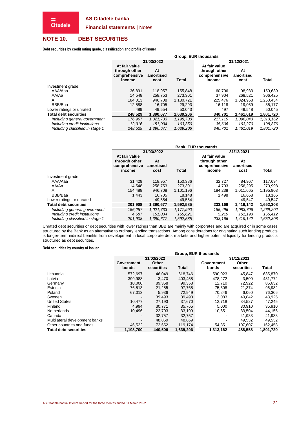**Financial statements |** Notes

# <span id="page-21-0"></span>**NOTE 10. DEBT SECURITIES**

= **Citadele** 

**Debt securities by credit rating grade, classification and profile of issuer**

|                                 | Group, EUR thousands                                      |                         |           |                                                           |                         |              |  |
|---------------------------------|-----------------------------------------------------------|-------------------------|-----------|-----------------------------------------------------------|-------------------------|--------------|--|
|                                 |                                                           | 31/03/2022              |           | 31/12/2021                                                |                         |              |  |
|                                 | At fair value<br>through other<br>comprehensive<br>income | At<br>amortised<br>cost | Total     | At fair value<br>through other<br>comprehensive<br>income | At<br>amortised<br>cost | <b>Total</b> |  |
| Investment grade:               |                                                           |                         |           |                                                           |                         |              |  |
| AAA/Aaa                         | 36.891                                                    | 118,957                 | 155.848   | 60.706                                                    | 98.933                  | 159,639      |  |
| AA/Aa                           | 14.548                                                    | 258,753                 | 273,301   | 37.904                                                    | 268,521                 | 306,425      |  |
| A                               | 184.013                                                   | 946.708                 | 1,130,721 | 225.476                                                   | 1,024,958               | 1,250,434    |  |
| BBB/Baa                         | 12.588                                                    | 16.705                  | 29,293    | 16.118                                                    | 19.059                  | 35,177       |  |
| Lower ratings or unrated        | 489                                                       | 49.554                  | 50.043    | 497                                                       | 49.548                  | 50,045       |  |
| <b>Total debt securities</b>    | 248.529                                                   | 1.390.677               | 1.639.206 | 340.701                                                   | 1.461.019               | 1,801,720    |  |
| Including general government    | 176.967                                                   | 1.021.733               | 1.198.700 | 217.119                                                   | 1.096.043               | 1,313,162    |  |
| Including credit institutions   | 12.316                                                    | 151.034                 | 163,350   | 35.606                                                    | 163.270                 | 198,876      |  |
| Including classified in stage 1 | 248,529                                                   | 1,390,677               | 1,639,206 | 340.701                                                   | 1,461,019               | 1,801,720    |  |

|                                 |                                                           | <b>Bank, EUR thousands</b> |              |                                                           |                         |              |  |  |  |  |
|---------------------------------|-----------------------------------------------------------|----------------------------|--------------|-----------------------------------------------------------|-------------------------|--------------|--|--|--|--|
|                                 |                                                           | 31/03/2022                 |              | 31/12/2021                                                |                         |              |  |  |  |  |
|                                 | At fair value<br>through other<br>comprehensive<br>income | At<br>amortised<br>cost    | <b>Total</b> | At fair value<br>through other<br>comprehensive<br>income | At<br>amortised<br>cost | <b>Total</b> |  |  |  |  |
| Investment grade:               |                                                           |                            |              |                                                           |                         |              |  |  |  |  |
| AAA/Aaa                         | 31.429                                                    | 118,957                    | 150,386      | 32,727                                                    | 84.967                  | 117,694      |  |  |  |  |
| AA/Aa                           | 14.548                                                    | 258.753                    | 273.301      | 14.703                                                    | 256.295                 | 270.998      |  |  |  |  |
| A                               | 154.488                                                   | 946.708                    | 1.101.196    | 184.238                                                   | 1.011.665               | 1,195,903    |  |  |  |  |
| BBB/Baa                         | 1.443                                                     | 16.705                     | 18.148       | 1.498                                                     | 16,668                  | 18,166       |  |  |  |  |
| Lower ratings or unrated        | $\blacksquare$                                            | 49,554                     | 49,554       | ٠                                                         | 49,547                  | 49,547       |  |  |  |  |
| <b>Total debt securities</b>    | 201.908                                                   | 1.390.677                  | 1.592.585    | 233.166                                                   | 1.419.142               | 1,652,308    |  |  |  |  |
| Including general government    | 156.257                                                   | 1.021.733                  | 1,177,990    | 185.496                                                   | 1,083,706               | 1,269,202    |  |  |  |  |
| Including credit institutions   | 4,587                                                     | 151.034                    | 155,621      | 5.219                                                     | 151.193                 | 156,412      |  |  |  |  |
| Including classified in stage 1 | 201,908                                                   | 1,390,677                  | 1,592,585    | 233,166                                                   | 1,419,142               | 1,652,308    |  |  |  |  |

Unrated debt securities or debt securities with lower ratings than BBB are mainly with corporates and are acquired or in some cases structured by the Bank as an alternative to ordinary lending transactions. Among considerations for originating such lending products is longer-term indirect benefits from development in local corporate debt markets and higher potential liquidity for lending products structured as debt securities.

#### **Debt securities by country of issuer**

|                                | Group, EUR thousands         |                     |           |                     |                     |              |  |  |  |
|--------------------------------|------------------------------|---------------------|-----------|---------------------|---------------------|--------------|--|--|--|
|                                |                              | 31/03/2022          |           | 31/12/2021          |                     |              |  |  |  |
|                                | Government<br>bonds          | Other<br>securities | Total     | Government<br>bonds | Other<br>securities | <b>Total</b> |  |  |  |
| Lithuania                      | 572.697                      | 46.049              | 618.746   | 590.023             | 45.847              | 635,870      |  |  |  |
| Latvia                         | 399,988                      | 3,470               | 403.458   | 478.272             | 3.500               | 481,772      |  |  |  |
| Germany                        | 10.000                       | 89.358              | 99,358    | 12.710              | 72.922              | 85,632       |  |  |  |
| Estonia                        | 76.513                       | 21,255              | 97,768    | 75.608              | 21.374              | 96,982       |  |  |  |
| Poland                         | 67.013                       | 5.936               | 72.949    | 70.246              | 6.060               | 76,306       |  |  |  |
| Sweden                         |                              | 39,493              | 39,493    | 3,083               | 40,842              | 43,925       |  |  |  |
| <b>United States</b>           | 10.477                       | 27,193              | 37,670    | 12,718              | 34.527              | 47,245       |  |  |  |
| Finland                        | 4.994                        | 30,771              | 35,765    | 5,000               | 30,910              | 35,910       |  |  |  |
| <b>Netherlands</b>             | 10.496                       | 22.703              | 33,199    | 10.651              | 33.504              | 44,155       |  |  |  |
| Canada                         | $\overline{\phantom{a}}$     | 32,757              | 32,757    |                     | 41,933              | 41,933       |  |  |  |
| Multilateral development banks | $\qquad \qquad \blacksquare$ | 48.869              | 48.869    |                     | 49.532              | 49,532       |  |  |  |
| Other countries and funds      | 46,522                       | 72,652              | 119,174   | 54.851              | 107.607             | 162,458      |  |  |  |
| <b>Total debt securities</b>   | 1,198,700                    | 440.506             | 1,639,206 | 1,313,162           | 488.558             | 1,801,720    |  |  |  |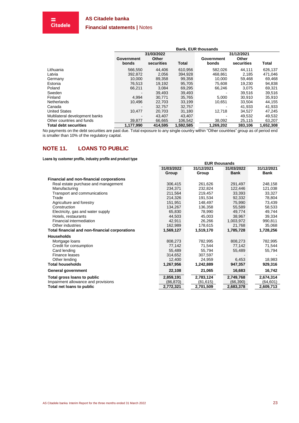**Financial statements |** Notes

 $\equiv$ <br>Citadele

|                                | <b>Bank, EUR thousands</b> |            |              |            |            |           |  |  |  |
|--------------------------------|----------------------------|------------|--------------|------------|------------|-----------|--|--|--|
|                                |                            | 31/03/2022 |              | 31/12/2021 |            |           |  |  |  |
|                                | Government                 | Other      |              | Government | Other      |           |  |  |  |
|                                | bonds                      | securities | <b>Total</b> | bonds      | securities | Total     |  |  |  |
| Lithuania                      | 566.550                    | 44,406     | 610.956      | 582.026    | 44.111     | 626,137   |  |  |  |
| Latvia                         | 392.872                    | 2.056      | 394,928      | 468,861    | 2.185      | 471,046   |  |  |  |
| Germany                        | 10.000                     | 89.358     | 99.358       | 10.000     | 59.468     | 69,468    |  |  |  |
| Estonia                        | 76,513                     | 19,192     | 95,705       | 75,608     | 19,230     | 94,838    |  |  |  |
| Poland                         | 66,211                     | 3.084      | 69.295       | 66,246     | 3.075      | 69,321    |  |  |  |
| Sweden                         |                            | 39,493     | 39,493       |            | 39,516     | 39,516    |  |  |  |
| Finland                        | 4,994                      | 30,771     | 35.765       | 5.000      | 30.910     | 35,910    |  |  |  |
| <b>Netherlands</b>             | 10,496                     | 22,703     | 33,199       | 10.651     | 33,504     | 44,155    |  |  |  |
| Canada                         | $\blacksquare$             | 32.757     | 32.757       |            | 41.933     | 41,933    |  |  |  |
| <b>United States</b>           | 10,477                     | 20.703     | 31.180       | 12.718     | 34,527     | 47,245    |  |  |  |
| Multilateral development banks | $\blacksquare$             | 43.407     | 43.407       |            | 49.532     | 49,532    |  |  |  |
| Other countries and funds      | 39,877                     | 66,665     | 106,542      | 38,092     | 25,115     | 63,207    |  |  |  |
| <b>Total debt securities</b>   | 1,177,990                  | 414,595    | 1,592,585    | 1,269,202  | 383,106    | 1,652,308 |  |  |  |

No payments on the debt securities are past due. Total exposure to any single country within "Other countries" group as of period end is smaller than 10% of the regulatory capital.

# <span id="page-22-0"></span>**NOTE 11. LOANS TO PUBLIC**

**Loans by customer profile, industry profile and product type**

|                                                | <b>EUR thousands</b> |            |             |             |  |  |  |
|------------------------------------------------|----------------------|------------|-------------|-------------|--|--|--|
|                                                | 31/03/2022           | 31/12/2021 | 31/03/2022  | 31/12/2021  |  |  |  |
|                                                | Group                | Group      | <b>Bank</b> | <b>Bank</b> |  |  |  |
| Financial and non-financial corporations       |                      |            |             |             |  |  |  |
| Real estate purchase and management            | 306,415              | 261,626    | 291,497     | 248,158     |  |  |  |
| Manufacturing                                  | 234.371              | 232,824    | 122,446     | 121,038     |  |  |  |
| Transport and communications                   | 211,564              | 219,457    | 33,393      | 33,327      |  |  |  |
| Trade                                          | 214,326              | 191,534    | 92,332      | 78,804      |  |  |  |
| Agriculture and forestry                       | 151,951              | 148,497    | 75,990      | 73,439      |  |  |  |
| Construction                                   | 134,267              | 136,358    | 55,589      | 58,533      |  |  |  |
| Electricity, gas and water supply              | 65,830               | 78,990     | 49,774      | 49,744      |  |  |  |
| Hotels, restaurants                            | 44,503               | 45,003     | 38,967      | 39,334      |  |  |  |
| Financial intermediation                       | 42,911               | 26,266     | 1,003,972   | 990,811     |  |  |  |
| Other industries                               | 162,989              | 178,615    | 21,768      | 35,068      |  |  |  |
| Total financial and non-financial corporations | 1,569,127            | 1,519,170  | 1,785,728   | 1,728,256   |  |  |  |
| <b>Households</b>                              |                      |            |             |             |  |  |  |
| Mortgage loans                                 | 808,273              | 782,995    | 808,273     | 782,995     |  |  |  |
| Credit for consumption                         | 77,142               | 71,544     | 77,142      | 71,544      |  |  |  |
| Card lending                                   | 55.489               | 55.794     | 55,489      | 55,794      |  |  |  |
| Finance leases                                 | 314,652              | 307.597    |             |             |  |  |  |
| Other lending                                  | 12,400               | 24,959     | 6,453       | 18,983      |  |  |  |
| <b>Total households</b>                        | 1,267,956            | 1,242,889  | 947,357     | 929,316     |  |  |  |
| General government                             | 22,108               | 21,065     | 16,683      | 16,742      |  |  |  |
| Total gross loans to public                    | 2,859,191            | 2,783,124  | 2,749,768   | 2,674,314   |  |  |  |
| Impairment allowance and provisions            | (86, 870)            | (81, 615)  | (66, 390)   | (64, 601)   |  |  |  |
| Total net loans to public                      | 2,772,321            | 2,701,509  | 2,683,378   | 2,609,713   |  |  |  |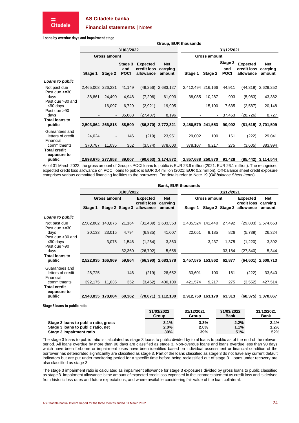#### **Financial statements |** Notes

**Loans by overdue days and impairment stage**

|                                                  |           |                     |                               |                                             |                           | Group, EUR thousands |                     |                               |                                             |                                  |
|--------------------------------------------------|-----------|---------------------|-------------------------------|---------------------------------------------|---------------------------|----------------------|---------------------|-------------------------------|---------------------------------------------|----------------------------------|
|                                                  |           |                     | 31/03/2022                    |                                             |                           | 31/12/2021           |                     |                               |                                             |                                  |
|                                                  |           | <b>Gross amount</b> |                               |                                             |                           |                      | <b>Gross amount</b> |                               |                                             |                                  |
|                                                  | Stage 1   | Stage 2             | Stage 3<br>and<br><b>POCI</b> | <b>Expected</b><br>credit loss<br>allowance | Net<br>carrying<br>amount | Stage 1              | Stage 2             | Stage 3<br>and<br><b>POCI</b> | <b>Expected</b><br>credit loss<br>allowance | <b>Net</b><br>carrying<br>amount |
| Loans to public                                  |           |                     |                               |                                             |                           |                      |                     |                               |                                             |                                  |
| Not past due<br>Past due $\leq$ =30              | 2,465,003 | 226,231             | 41,149                        | (49, 256)                                   | 2,683,127                 | 2,412,494 216,166    |                     | 44,911                        | (44, 319)                                   | 2,629,252                        |
| days<br>Past due > 30 and                        | 38,861    | 24,490              | 4,948                         | (7,206)                                     | 61,093                    | 38,085               | 10,287              | 993                           | (5,983)                                     | 43,382                           |
| ≤90 days<br>Past due >90                         | -         | 16,097              | 6,729                         | (2,921)                                     | 19,905                    |                      | 15,100              | 7,635                         | (2,587)                                     | 20,148                           |
| days                                             |           | ۰.                  | 35,683                        | (27, 487)                                   | 8,196                     |                      | ۰.                  | 37,453                        | (28, 726)                                   | 8,727                            |
| <b>Total loans to</b><br>public                  | 2,503,864 | 266,818             | 88,509                        |                                             | (86,870) 2,772,321        | 2,450,579            | 241,553             | 90,992                        |                                             | $(81,615)$ 2,701,509             |
| Guarantees and<br>letters of credit<br>Financial | 24,024    | $\blacksquare$      | 146                           | (219)                                       | 23,951                    | 29,002               | 100                 | 161                           | (222)                                       | 29,041                           |
| commitments                                      | 370,787   | 11,035              | 352                           | (3,574)                                     | 378,600                   | 378,107              | 9,217               | 275                           | (3,605)                                     | 383,994                          |
| <b>Total credit</b><br>exposure to               |           |                     |                               |                                             |                           |                      |                     |                               |                                             |                                  |
| public                                           | 2,898,675 | 277,853             | 89,007                        | (90, 663)                                   | 3,174,872                 | 2,857,688            | 250,870             | 91,428                        | (85,442)                                    | 3,114,544                        |

As of 31 March 2022, the gross amount of Group's POCI loans to public is EUR 23.9 million (2021: EUR 26.1 million). The recognised expected credit loss allowance on POCI loans to public is EUR 0.4 million (2021: EUR 0.2 million). Off-balance sheet credit exposure comprises various committed financing facilities to the borrowers. For details refer to [Note 19](#page-29-0) (*[Off-balance Sheet Items](#page-29-0)*).

|                                                  |                   |                     |                 |                          |                      | <b>Bank, EUR thousands</b> |                 |                |                          |                      |  |
|--------------------------------------------------|-------------------|---------------------|-----------------|--------------------------|----------------------|----------------------------|-----------------|----------------|--------------------------|----------------------|--|
|                                                  |                   |                     | 31/03/2022      |                          |                      |                            | 31/12/2021      |                |                          |                      |  |
|                                                  |                   | <b>Gross amount</b> |                 | <b>Expected</b>          | <b>Net</b>           |                            | Gross amount    |                | <b>Expected</b>          | Net                  |  |
|                                                  | Stage 1           |                     | Stage 2 Stage 3 | credit loss<br>allowance | carrying<br>amount   | Stage 1                    | Stage 2 Stage 3 |                | credit loss<br>allowance | carrying<br>amount   |  |
| Loans to public                                  |                   |                     |                 |                          |                      |                            |                 |                |                          |                      |  |
| Not past due<br>Past due $\leq$ =30              | 2,502,802 140,876 |                     | 21,164          | (31, 489)                | 2,633,353            | 2,435,524 141,440          |                 | 27,492         | (29, 803)                | 2,574,653            |  |
| days<br>Past due > 30 and                        | 20,133            | 23,015              | 4,794           | (6,935)                  | 41,007               | 22,051                     | 9,185           | 826            | (5,738)                  | 26,324               |  |
| ≤90 days<br>Past due >90                         |                   | 3,078               | 1,546           | (1,264)                  | 3,360                |                            | 3,237           | 1,375          | (1,220)                  | 3,392                |  |
| days                                             |                   | ۰.                  | 32,360          | (26, 702)                | 5,658                |                            | $\blacksquare$  | 33,184         | (27, 840)                | 5,344                |  |
| <b>Total loans to</b><br>public                  | 2,522,935         | 166,969             | 59,864          |                          | $(66,390)$ 2,683,378 | 2,457,575                  | 153,862         | 62,877         |                          | $(64,601)$ 2,609,713 |  |
| Guarantees and<br>letters of credit<br>Financial | 28,725            |                     | 146             | (219)                    | 28,652               | 33,601                     | 100             | 161            | (222)                    | 33,640               |  |
| commitments                                      | 392,175           | 11,035              | 352             | (3, 462)                 | 400,100              | 421,574                    | 9,217           | 275            | (3, 552)                 | 427,514              |  |
| <b>Total credit</b><br>exposure to               |                   |                     |                 |                          |                      |                            |                 |                |                          |                      |  |
| public                                           | 2,943,835         | 178,004             | 60,362          | (70, 071)                | 3,112,130            | 2,912,750                  | 163,179         | 63,313         | (68, 375)                | 3,070,867            |  |
| Stage 3 loans to public ratio                    |                   |                     |                 |                          | <b>CALOGICACO</b>    | 0.414010004                |                 | $0.4$ inninnan |                          | <b>0414010004</b>    |  |

|                                      | 31/03/2022<br>Group | 31/12/2021<br>Group | 31/03/2022<br><b>Bank</b> | 31/12/2021<br><b>Bank</b> |
|--------------------------------------|---------------------|---------------------|---------------------------|---------------------------|
| Stage 3 loans to public ratio, gross | 3.1%                | 3.3%                | 2.2%                      | 2.4%                      |
| Stage 3 loans to public ratio, net   | 2.0%                | 2.0%                | 1.1%                      | 1.2%                      |
| Stage 3 impairment ratio             | 39%                 | 39%                 | 51%                       | 52%                       |

The stage 3 loans to public ratio is calculated as stage 3 loans to public divided by total loans to public as of the end of the relevant period. All loans overdue by more than 90 days are classified as stage 3. Non-overdue loans and loans overdue less than 90 days which have been forborne or impairment loses have been identified based on individual assessment or financial condition of the borrower has deteriorated significantly are classified as stage 3. Part of the loans classified as stage 3 do not have any current default indicators but are put under monitoring period for a specific time before being reclassified out of stage 3. Loans under recovery are also classified as stage 3.

The stage 3 impairment ratio is calculated as impairment allowance for stage 3 exposures divided by gross loans to public classified as stage 3. Impairment allowance is the amount of expected credit loss expensed in the income statement as credit loss and is derived from historic loss rates and future expectations, and where available considering fair value of the loan collateral.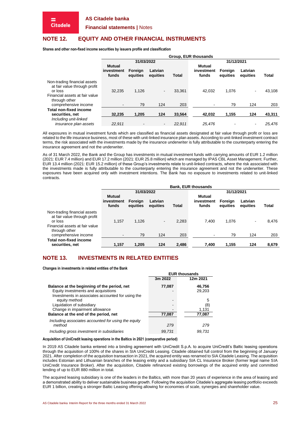**Citadele** 

**Financial statements |** Notes

# **NOTE 12. EQUITY AND OTHER FINANCIAL INSTRUMENTS**

**Shares and other non-fixed income securities by issuers profile and classification**

|                                                                         |                                      | <b>Group. EUR thousands</b> |                              |        |                                      |                     |                     |              |  |  |  |  |
|-------------------------------------------------------------------------|--------------------------------------|-----------------------------|------------------------------|--------|--------------------------------------|---------------------|---------------------|--------------|--|--|--|--|
|                                                                         |                                      | 31/03/2022                  |                              |        | 31/12/2021                           |                     |                     |              |  |  |  |  |
|                                                                         | <b>Mutual</b><br>investment<br>funds | Foreian<br>equities         | Latvian<br>equities          | Total  | <b>Mutual</b><br>investment<br>funds | Foreign<br>equities | Latvian<br>equities | <b>Total</b> |  |  |  |  |
| Non-trading financial assets<br>at fair value through profit<br>or loss | 32.235                               | 1.126                       | $\qquad \qquad \blacksquare$ | 33.361 | 42.032                               | 1,076               | $\blacksquare$      | 43.108       |  |  |  |  |
| Financial assets at fair value<br>through other<br>comprehensive income | $\blacksquare$                       | 79                          | 124                          | 203    | ۰                                    | 79                  | 124                 | 203          |  |  |  |  |
| <b>Total non-fixed income</b><br>securities, net                        | 32.235                               | 1.205                       | 124                          | 33.564 | 42,032                               | 1.155               | 124                 | 43,311       |  |  |  |  |
| Including unit-linked<br>insurance plan assets                          | 22.911                               | -                           | $\overline{\phantom{a}}$     | 22.911 | 25.476                               |                     |                     | 25.476       |  |  |  |  |

All exposures in mutual investment funds which are classified as financial assets designated at fair value through profit or loss are related to the life insurance business, most of these with unit-linked insurance plan assets. According to unit-linked investment contract terms, the risk associated with the investments made by the insurance underwriter is fully attributable to the counterparty entering the insurance agreement and not the underwriter.

As of 31 March 2022, the Bank and the Group has investments in mutual investment funds with carrying amounts of EUR 1.2 million (2021: EUR 7.4 million) and EUR 17.2 million (2021: EUR 25.8 million) which are managed by IPAS CBL Asset Management. Further, EUR 13.4 million (2021: EUR 15.2 million) of these Group's investments relate to unit-linked contracts, where the risk associated with the investments made is fully attributable to the counterparty entering the insurance agreement and not the underwriter. These exposures have been acquired only with investment intentions. The Bank has no exposure to investments related to unit-linked contracts.

|                                                                                                                            |                                      | <b>Bank, EUR thousands</b> |                     |              |                               |                     |                     |              |  |  |  |
|----------------------------------------------------------------------------------------------------------------------------|--------------------------------------|----------------------------|---------------------|--------------|-------------------------------|---------------------|---------------------|--------------|--|--|--|
|                                                                                                                            |                                      | 31/03/2022                 |                     |              |                               | 31/12/2021          |                     |              |  |  |  |
|                                                                                                                            | <b>Mutual</b><br>investment<br>funds | Foreian<br>equities        | Latvian<br>equities | <b>Total</b> | Mutual<br>investment<br>funds | Foreign<br>equities | Latvian<br>equities | <b>Total</b> |  |  |  |
| Non-trading financial assets<br>at fair value through profit<br>or loss<br>Financial assets at fair value<br>through other | 1.157                                | 1.126                      | $\blacksquare$      | 2.283        | 7.400                         | 1,076               |                     | 8.476        |  |  |  |
| comprehensive income                                                                                                       |                                      | 79                         | 124                 | 203          |                               | 79                  | 124                 | 203          |  |  |  |
| <b>Total non-fixed income</b><br>securities, net                                                                           | 1,157                                | 1,205                      | 124                 | 2,486        | 7,400                         | 1,155               | 124                 | 8,679        |  |  |  |

# **NOTE 13. INVESTMENTS IN RELATED ENTITIES**

**Changes in investments in related entities of the Bank**

|                                                     |         | <b>EUR thousands</b> |
|-----------------------------------------------------|---------|----------------------|
|                                                     | 3m 2022 | 12m 2021             |
| Balance at the beginning of the period, net         | 77,087  | 46,756               |
| Equity investments and acquisitions                 |         | 29,203               |
| Investments in associates accounted for using the   |         |                      |
| equity method                                       | ۰       | 5                    |
| Liquidation of subsidiary                           |         | (8)                  |
| Change in impairment allowance                      |         | 1,131                |
| Balance at the end of the period, net               | 77,087  | 77,087               |
| Including associates accounted for using the equity |         |                      |
| method                                              | 279     | 279                  |
| Including gross investment in subsidiaries          | 99.731  | 99.731               |

#### **Acquisition of UniCredit leasing operations in the Baltics in 2021 (comparative period)**

In 2019 AS Citadele banka entered into a binding agreement with UniCredit S.p.A. to acquire UniCredit's Baltic leasing operations through the acquisition of 100% of the shares in SIA UniCredit Leasing. Citadele obtained full control from the beginning of January 2021. After completion of the acquisition transaction in 2021, the acquired entity was renamed to SIA Citadele Leasing. The acquisition includes Estonian and Lithuanian branches of the leasing entity and a subsidiary SIA CL Insurance Broker (former legal name SIA UniCredit Insurance Broker). After the acquisition, Citadele refinanced existing borrowings of the acquired entity and committed lending of up to EUR 880 million in total.

The acquired leasing subsidiary is one of the leaders in the Baltics, with more than 20 years of experience in the area of leasing and a demonstrated ability to deliver sustainable business growth. Following the acquisition Citadele's aggregate leasing portfolio exceeds EUR 1 billion, creating a stronger Baltic Leasing offering allowing for economies of scale, synergies and shareholder value.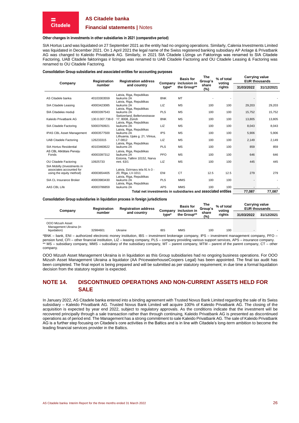

#### **Financial statements |** Notes

#### **Other changes in investments in other subsidiaries in 2021 (comparative period)**

SIA Hortus Land was liquidated on 27 September 2021 as the entity had no ongoing operations. Similarly, Calenia Investments Limited was liquidated in December 2021. On 1 April 2021 the legal name of the Swiss registered banking subsidiary AP Anlage & Privatbank AG was changed to Kaleido Privatbank AG. Similarly, in 2021 SIA Citadele Līzings un Faktorings was renamed to SIA Citadele Factoring, UAB Citadele faktoringas ir lizingas was renamed to UAB Citadele Factoring and OU Citadele Leasing & Factoring was renamed to OU Citadele Factoring.

#### **Consolidation Group subsidiaries and associated entities for accounting purposes**

| inclusion in<br>voting<br>Company<br>Company<br>number<br>and country<br>share                                                                                       | 31/12/2021 |
|----------------------------------------------------------------------------------------------------------------------------------------------------------------------|------------|
| the Group**<br>rights<br>31/03/2022<br>type*<br>(%)                                                                                                                  |            |
| Latvia, Riga, Republikas<br>MT<br><b>BNK</b><br>AS Citadele banka<br>40103303559<br>laukums 2A<br>Latvia, Riga, Republikas                                           |            |
| <b>MS</b><br>LIZ<br>SIA Citadele Leasing<br>40003423085<br>laukums 2A<br>100<br>100<br>29,203<br>Latvia, Riga, Republikas                                            | 29,203     |
| PLS<br><b>MS</b><br>40003397543<br>100<br>15,752<br>SIA Citadeles moduli<br>laukums 2A<br>100<br>Switzerland, Bellerivestrasse                                       | 15,752     |
| <b>MS</b><br>130.0.007.738-0<br><b>BNK</b><br>Kaleido Privatbank AG<br>17, 8008, Zürich<br>100<br>100<br>13,805<br>Latvia, Riga, Republikas                          | 13,805     |
| LIZ<br><b>MS</b><br>50003760921<br>100<br>SIA Citadele Factoring<br>laukums 2A<br>100<br>8,043<br>Latvia, Riga, Republikas                                           | 8,043      |
| <b>IPS</b><br><b>MS</b><br>40003577500<br>100<br>100<br><b>IPAS CBL Asset Management</b><br>laukums 2A<br>5,906<br>Lithuania, Upės g. 21, Vilnius,                   | 5,906      |
| LIZ<br><b>MS</b><br>126233315<br>100<br><b>UAB Citadele Factoring</b><br>LT-0812<br>100<br>2,149<br>Latvia, Riga, Republikas                                         | 2,149      |
| <b>PLS</b><br><b>MS</b><br><b>SIA Hortus Residential</b><br>100<br>100<br>40103460622<br>laukums 2A<br>859                                                           | 859        |
| AS CBL Atklātais Pensiju<br>Latvia, Riga, Republikas<br>PFO<br>40003397312<br><b>MS</b><br>100<br>100<br>646<br>laukums 2A<br>Fonds<br>Estonia, Tallinn 10152, Narva | 646        |
| <b>MS</b><br>OU Citadele Factoring<br>LIZ<br>100<br>445<br>10925733<br>mnt. 63/1<br>100                                                                              | 445        |
| SIA Mobilly (Investments in<br>associates accounted for<br>Latvia. Dzirnavu iela 91 k-3 -                                                                            |            |
| <b>CT</b><br>40003654405<br>ENI<br>12.5<br>12.5<br>279<br>20, Rīga, LV-1011<br>using the equity method)<br>Latvia, Riga, Republikas                                  | 279        |
| <b>PLS</b><br><b>MMS</b><br>SIA CL Insurance Broker<br>40003983430<br>100<br>100<br>laukums 2A<br>Latvia, Riga, Republikas                                           |            |
| <b>APS</b><br><b>MMS</b><br><b>AAS CBL Life</b><br>100<br>40003786859<br>100<br>laukums 2A<br>1.111<br>المتحدث المتناور<br>_                                         |            |

**Total net investments in subsidiaries and associated entities 77,087 77,087**

#### **Consolidation Group subsidiaries in liquidation process in foreign jurisdictions**

| Company                                                    | Registration      | <b>Registration address</b> | Company      | <b>Basis for</b><br>inclusion in | The<br>Group's | % of total<br>votina |  | <b>Carrying value</b><br><b>EUR thousands</b> |
|------------------------------------------------------------|-------------------|-----------------------------|--------------|----------------------------------|----------------|----------------------|--|-----------------------------------------------|
| number<br>and country                                      | type <sup>*</sup> | the Group**                 | share<br>(%) | rights                           | 31/03/2022     | 31/12/2021           |  |                                               |
| OOO Mizush Asset<br>Management Ukraina (in<br>liquidation) | 32984601          | Ukraine                     | <b>IBS</b>   | MMS                              | 100            | 100                  |  |                                               |

\*BNK – bank, ENI – authorized electronic money institution, IBS – investment brokerage company, IPS – investment management company, PFO – pension fund, CFI – other financial institution, LIZ – leasing company, PLS – company providing various support services, APS – insurance company. \*\* MS – subsidiary company, MMS – subsidiary of the subsidiary company, MT – parent company, MTM – parent of the parent company, CT – other company.

OOO Mizush Asset Management Ukraina is in liquidation as this Group subsidiaries had no ongoing business operations. For OOO Mizush Asset Management Ukraina a liquidator (AA PricewaterhouseCoopers Legal) has been appointed. The final tax audit has been completed. The final report is being prepared and will be submitted as per statutory requirement; in due time a formal liquidation decision from the statutory register is expected.

# <span id="page-25-0"></span>**NOTE 14. DISCONTINUED OPERATIONS AND NON-CURRENT ASSETS HELD FOR SALE**

In January 2022, AS Citadele banka entered into a binding agreement with Trusted Novus Bank Limited regarding the sale of its Swiss subsidiary – Kaleido Privatbank AG. Trusted Novus Bank Limited will acquire 100% of Kaleido Privatbank AG. The closing of the acquisition is expected by year end 2022, subject to regulatory approvals. As the conditions indicate that the investment will be recovered principally through a sale transaction rather than through continuing, Kaleido Privatbank AG is presented as discontinued operations as of period end. The Management has a strong commitment to sale Kaleido Privatbank AG. The sale of Kaleido Privatbank AG is a further step focusing on Citadele's core activities in the Baltics and is in line with Citadele's long-term ambition to become the leading financial services provider in the Baltics.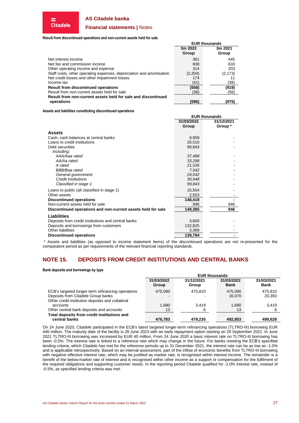

## **Financial statements |** Notes

#### **Result from discontinued operations and non-current assets held for sale**

⋍ **Citadele** 

|                                                                      | сок иючэанчэ     |                  |  |
|----------------------------------------------------------------------|------------------|------------------|--|
|                                                                      | 3m 2022<br>Group | 3m 2021<br>Group |  |
|                                                                      |                  |                  |  |
| Net interest income                                                  | 361              | 445              |  |
| Net fee and commission income                                        | 838              | 633              |  |
| Other operating income and expense                                   | 314              | 203              |  |
| Staff costs, other operating expenses, depreciation and amortisation | (2,204)          | (2, 173)         |  |
| Net credit losses and other impairment losses                        | 174              |                  |  |
| Income tax                                                           | (41)             | (38)             |  |
| <b>Result from discontinued operations</b>                           | (558)            | (919)            |  |
| Result from non-current assets held for sale                         | (38)             | (56)             |  |
| Result from non-current assets held for sale and discontinued        |                  |                  |  |
| operations                                                           | (596)            | (975)            |  |

**EUR thousands**

#### **Assets and liabilities constituting discontinued operations**

|                                                              |            | <b>EUR thousands</b> |
|--------------------------------------------------------------|------------|----------------------|
|                                                              | 31/03/2022 | 31/12/2021           |
|                                                              | Group      | Group *              |
| Assets                                                       |            |                      |
| Cash, cash balances at central banks                         | 9,959      |                      |
| Loans to credit institutions                                 | 20,510     |                      |
| Debt securities                                              | 99,843     |                      |
| Including:                                                   |            |                      |
| AAA/Aaa rated                                                | 37,468     |                      |
| AA/Aa rated                                                  | 33,298     |                      |
| A rated                                                      | 21,535     |                      |
| BBB/Baa rated                                                | 7,542      |                      |
| General government                                           | 24,042     |                      |
| Credit institutions                                          | 30,948     |                      |
| Classified in stage 1                                        | 99,843     |                      |
| Loans to public (all classified in stage 1)                  | 15,554     |                      |
| Other assets                                                 | 2,553      |                      |
| <b>Discontinued operations</b>                               | 148,419    |                      |
| Non-current assets held for sale                             | 946        | 946                  |
| Discontinued operations and non-current assets held for sale | 149,365    | 946                  |
| <b>Liabilities</b>                                           |            |                      |
| Deposits from credit institutions and central banks          | 3,600      |                      |
| Deposits and borrowings from customers                       | 132,825    |                      |
| <b>Other liabilities</b>                                     | 3,369      |                      |
| <b>Discontinued operations</b>                               | 139,794    |                      |

\* Assets and liabilities (as opposed to income statement items) of the discontinued operations are not re-presented for the comparative period as per requirements of the relevant financial reporting standards.

# **NOTE 15. DEPOSITS FROM CREDIT INSTITUTIONS AND CENTRAL BANKS**

**Bank deposits and borrowings by type**

|                                                              | <b>EUR thousands</b> |                     |                           |                           |  |  |  |  |
|--------------------------------------------------------------|----------------------|---------------------|---------------------------|---------------------------|--|--|--|--|
|                                                              | 31/03/2022<br>Group  | 31/12/2021<br>Group | 31/03/2022<br><b>Bank</b> | 31/03/2021<br><b>Bank</b> |  |  |  |  |
| ECB's targeted longer-term refinancing operations            | 475.090              | 475.810             | 475.090                   | 475.810                   |  |  |  |  |
| Deposits from Citadele Group banks                           |                      |                     | 16.070                    | 20,393                    |  |  |  |  |
| Other credit institution deposits and collateral             |                      |                     |                           |                           |  |  |  |  |
| accounts                                                     | 1,680                | 3.419               | 1.680                     | 3.419                     |  |  |  |  |
| Other central bank deposits and accounts                     | 13                   | 6                   | 13                        |                           |  |  |  |  |
| Total deposits from credit institutions and<br>central banks | 476,783              | 479.235             | 492,853                   | 499,628                   |  |  |  |  |

On 24 June 2020, Citadele participated in the ECB's latest targeted longer-term refinancing operations (TLTRO-III) borrowing EUR 440 million. The maturity date of the facility is 28 June 2023 with an early repayment option starting on 29 September 2021. In June 2021 TLTRO-III borrowing was increased by EUR 40 million. From 24 June 2020 a basic interest rate on TLTRO-III borrowing has been -0.5%. The interest rate is linked to a reference rate which may change in the future. For banks meeting the ECB's specified lending criteria, which Citadele has met for the reference periods up to 31 December 2021, the interest rate can be as low as -1.0% and is applicable retrospectively. Based on an internal assessment, part of the inflow of economic benefits from TLTRO-III borrowing with negative effective interest rate, which may be justified as market rate, is recognised within interest income. The remainder is a benefit of the below-market rate of interest and is recognised within other income as a support or compensation for the fulfilment of the required obligations and supporting customer needs. In the reporting period Citadele qualified for -1.0% interest rate, instead of -0.5%, as specified lending criteria was met.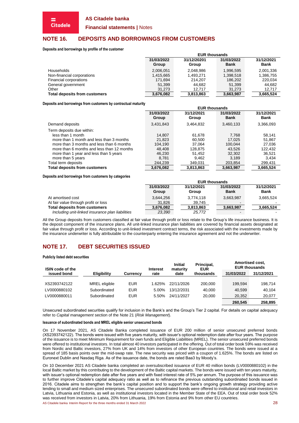**Financial statements |** Notes

# **NOTE 16. DEPOSITS AND BORROWINGS FROM CUSTOMERS**

**Deposits and borrowings by profile of the customer**

**Citadele** 

| 31/12/2021<br>31/12/20201<br>31/03/2022<br>31/03/2022                                    |           |
|------------------------------------------------------------------------------------------|-----------|
| <b>Bank</b><br><b>Bank</b><br>Group<br>Group                                             |           |
| 2,048,986<br>2,001,336<br><b>Households</b><br>2,006,051<br>1,996,595                    |           |
| Non-financial corporations<br>1,415,665<br>1,398,518<br>1.493.271                        | 1,386,755 |
| Financial corporations<br>214.207<br>186,202<br>171.694                                  | 220.034   |
| General government<br>51,399<br>51,399<br>44.682                                         | 44.682    |
| Other<br>31.273<br>31.273<br>12.717                                                      | 12.717    |
| <b>Total deposits from customers</b><br>3,665,524<br>3,813,863<br>3,676,082<br>3,663,987 |           |

**Deposits and borrowings from customers by contractual maturity**

|                                            | <b>EUR thousands</b> |            |             |             |  |  |
|--------------------------------------------|----------------------|------------|-------------|-------------|--|--|
|                                            | 31/03/2022           | 31/12/2021 | 31/03/2022  | 31/12/2021  |  |  |
|                                            | Group                | Group      | <b>Bank</b> | <b>Bank</b> |  |  |
| Demand deposits                            | 3,431,843            | 3,464,832  | 3,460,133   | 3,366,093   |  |  |
| Term deposits due within:                  |                      |            |             |             |  |  |
| less than 1 month                          | 14,807               | 61,678     | 7,768       | 58,141      |  |  |
| more than 1 month and less than 3 months   | 21,823               | 60,500     | 17.025      | 51,867      |  |  |
| more than 3 months and less than 6 months  | 104.190              | 37.064     | 100.044     | 27,036      |  |  |
| more than 6 months and less than 12 months | 48,408               | 128.875    | 43.526      | 122,432     |  |  |
| more than 1 year and less than 5 years     | 46,230               | 51.452     | 32,302      | 36,521      |  |  |
| more than 5 years                          | 8.781                | 9,462      | 3.189       | 3,434       |  |  |
| Total term deposits                        | 244,239              | 349,031    | 203,854     | 299,431     |  |  |
| <b>Total deposits from customers</b>       | 3,676,082            | 3,813,863  | 3,663,987   | 3,665,524   |  |  |

**Deposits and borrowings from customers by categories**

|                                                  | <b>EUR thousands</b> |                     |                           |                           |  |  |  |
|--------------------------------------------------|----------------------|---------------------|---------------------------|---------------------------|--|--|--|
|                                                  | 31/03/2022<br>Group  | 31/12/2021<br>Group | 31/03/2022<br><b>Bank</b> | 31/12/2021<br><b>Bank</b> |  |  |  |
| At amortised cost                                | 3,644,256            | 3,774,118           | 3,663,987                 | 3.665.524                 |  |  |  |
| At fair value through profit or loss             | 31,826               | 39.745              |                           |                           |  |  |  |
| <b>Total deposits from customers</b>             | 3,676,082            | 3,813,863           | 3,663,987                 | 3.665.524                 |  |  |  |
| Including unit-linked insurance plan liabilities | 23,390               | 25.772              | $\overline{\phantom{a}}$  |                           |  |  |  |

All the Group deposits from customers classified at fair value through profit or loss relate to the Group's life insurance business. It is the deposit component of the insurance plans. All unit-linked insurance plan liabilities are covered by financial assets designated at fair value through profit or loss. According to unit-linked investment contract terms, the risk associated with the investments made by the insurance underwriter is fully attributable to the counterparty entering the insurance agreement and not the underwriter.

# **NOTE 17. DEBT SECURITIES ISSUED**

#### **Publicly listed debt securities**

| <b>ISIN code of the</b> |                      |                 | <b>Initial</b><br>maturity<br><b>Interest</b> |            | Principal,<br><b>EUR</b> | Amortised cost.<br><b>EUR thousands</b> |            |
|-------------------------|----------------------|-----------------|-----------------------------------------------|------------|--------------------------|-----------------------------------------|------------|
| issued bond             | <b>Eligibility</b>   | <b>Currency</b> | rate                                          | date       | thousands                | 31/03/2022                              | 31/12/2021 |
|                         |                      |                 |                                               |            |                          |                                         |            |
| XS2393742122            | <b>MREL</b> eligible | <b>EUR</b>      | 1.625%                                        | 22/11/2026 | 200.000                  | 199.594                                 | 198.714    |
| LV0000880102            | Subordinated         | <b>EUR</b>      | 5.00%                                         | 13/12/2031 | 40,000                   | 40.599                                  | 40.104     |
| LV0000880011            | Subordinated         | <b>EUR</b>      | 5.50%                                         | 24/11/2027 | 20,000                   | 20.352                                  | 20,077     |
|                         |                      |                 |                                               |            |                          | 260,545                                 | 258.895    |

Unsecured subordinated securities qualify for inclusion in the Bank's and the Group's Tier 2 capital. For details on capital adequacy refer to *[Capital management](#page-32-0)* section of th[e Note 21](#page-30-0) (*[Risk Management](#page-30-0)*).

#### **Issuance of subordinated bonds and MREL eligible senior unsecured bonds**

On 17 November 2021, AS Citadele Banka completed issuance of EUR 200 million of senior unsecured preferred bonds (XS2393742122). The bonds were issued with five years maturity, with issuer's optional redemption date after four years. The purpose of the issuance is to meet Minimum Requirement for own funds and Eligible Liabilities (MREL). The senior unsecured preferred bonds were offered to institutional investors. In total almost 40 investors participated in the offering. Out of total order book 59% was received from Nordic and Baltic investors, 27% from UK and 14% from investors of other European countries. The bonds were issued at a spread of 185 basis points over the mid-swap rate. The new security was priced with a coupon of 1.625%. The bonds are listed on Euronext Dublin and Nasdaq Riga. As of the issuance date, the bonds are rated Baa3 by Moody's.

AS Citadele banka Interim Report for the three months ended 31 March 2022 28 28 On 10 December 2021 AS Citadele banka completed an oversubscribed issuance of EUR 40 million bonds (LV0000880102) in the local Baltic market by this contributing to the development of the Baltic capital markets. The bonds were issued with ten years maturity, with issuer's optional redemption date after five years and with fixed interest rate of 5% per annum. The purpose of this issuance was to further improve Citadele's capital adequacy ratio as well as to refinance the previous outstanding subordinated bonds issued in 2016. Citadele aims to strengthen the bank's capital position and to support the bank's ongoing growth strategy providing active lending to small and medium sized enterprises. The unsecured subordinated bonds were offered to institutional and retail investors in Latvia, Lithuania and Estonia, as well as institutional investors located in the Member State of the EEA. Out of total order book 52% was received from investors in Latvia, 20% from Lithuania, 19% from Estonia and 9% from other EU countries.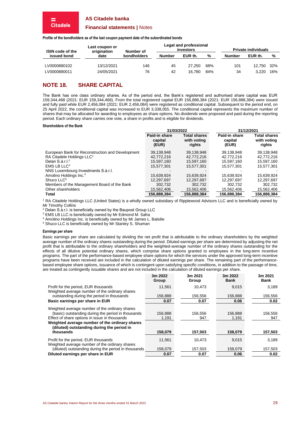#### **Financial statements |** Notes

**Profile of the bondholders as of the last coupon payment date of the subordinated bonds**

| <b>ISIN code of the</b> | Last coupon or<br>origination | Number of   |               | Legal and professional<br>investors |     |               | <b>Private individuals</b> |       |
|-------------------------|-------------------------------|-------------|---------------|-------------------------------------|-----|---------------|----------------------------|-------|
| issued bond             | date                          | bondholders | <b>Number</b> | EUR th.                             | %   | <b>Number</b> | EUR th.                    | %     |
| LV0000880102            | 13/12/2021                    | 146         | 45            | 27.250                              | 68% | 101           | 12.750                     | - 32% |
| LV0000880011            | 24/05/2021                    | 76          | 42            | 16.780                              | 84% | 34            | 3.220                      | 16%   |

# **NOTE 18. SHARE CAPITAL**

The Bank has one class ordinary shares. As of the period end, the Bank's registered and authorised share capital was EUR 159,344,468 (2021: EUR 159,344,468). From the total registered capital EUR 156,888,384 (2021: EUR 156,888,384) were issued and fully paid while EUR 2,456,084 (2021: EUR 2,456,084) were registered as conditional capital. Subsequent to the period end, on 25 April 2022, the conditional capital was increased to EUR 3,338,055. The conditional capital represents the maximum number of shares that may be allocated for awarding to employees as share options. No dividends were proposed and paid during the reporting period. Each ordinary share carries one vote, a share in profits and is eligible for dividends.

#### **Shareholders of the Bank**

**Citadele** 

|                                                  | 31/03/2022                        |                                              | 31/12/2021                        |                                              |
|--------------------------------------------------|-----------------------------------|----------------------------------------------|-----------------------------------|----------------------------------------------|
|                                                  | Paid-in share<br>capital<br>(EUR) | <b>Total shares</b><br>with voting<br>rights | Paid-in share<br>capital<br>(EUR) | <b>Total shares</b><br>with voting<br>rights |
| European Bank for Reconstruction and Development | 39,138,948                        | 39,138,948                                   | 39,138,948                        | 39,138,948                                   |
| RA Citadele Holdings LLC <sup>1</sup>            | 42.772.216                        | 42.772.216                                   | 42.772.216                        | 42,772,216                                   |
| Delan S.à.r.l. <sup>2</sup>                      | 15.597.160                        | 15,597,160                                   | 15.597.160                        | 15.597.160                                   |
| $EMS$ LB LLC <sup>3</sup>                        | 15.577.301                        | 15.577.301                                   | 15.577.301                        | 15.577.301                                   |
| NNS Luxembourg Investments S.a.r.l.              |                                   |                                              |                                   |                                              |
| Amolino Holdings Inc. <sup>4</sup>               | 15.639.924                        | 15.639.924                                   | 15.639.924                        | 15,639,924                                   |
| Shuco LLC <sup>5</sup>                           | 12.297.697                        | 12,297,697                                   | 12,297,697                        | 12.297.697                                   |
| Members of the Management Board of the Bank      | 302.732                           | 302,732                                      | 302.732                           | 302.732                                      |
| Other shareholders                               | 15,562,406                        | 15.562.406                                   | 15,562,406                        | 15,562,406                                   |
| <b>Total</b>                                     | 156,888,384                       | 156,888,384                                  | 156.888.384                       | 156.888.384                                  |

<sup>1</sup> RA Citadele Holdings LLC (United States) is a wholly owned subsidiary of Ripplewood Advisors LLC and is beneficially owned by Mr Timothy Collins

<sup>2</sup> Delan S.à.r.l. is beneficially owned by the Baupost Group LLC

<sup>3</sup> EMS LB LLC is beneficially owned by Mr Edmond M. Safra

<sup>4</sup> Amolino Holdings Inc. is beneficially owned by Mr James L. Balsilie

<sup>5</sup> Shuco LLC is beneficially owned by Mr Stanley S. Shuman

#### **Earnings per share**

Basic earnings per share are calculated by dividing the net profit that is attributable to the ordinary shareholders by the weighted average number of the ordinary shares outstanding during the period. Diluted earnings per share are determined by adjusting the net profit that is attributable to the ordinary shareholders and the weighted-average number of the ordinary shares outstanding for the effects of all dilutive potential ordinary shares, which comprise share options granted to employees in the long-term incentive programs. The part of the performance-based employee share options for which the services under the approved long-term incentive programs have been received are included in the calculation of diluted earnings per share. The remaining part of the performancebased employee share options, issuance of which is contingent upon satisfying specific conditions, in addition to the passage of time, are treated as contingently issuable shares and are not included in the calculation of diluted earnings per share.

|                                                                                              | 3m 2022<br>Group | 3m 2021<br>Group | 3m 2022<br><b>Bank</b> | 3m 2021<br><b>Bank</b> |
|----------------------------------------------------------------------------------------------|------------------|------------------|------------------------|------------------------|
| Profit for the period, EUR thousands                                                         | 11.561           | 10.473           | 9,015                  | 3,189                  |
| Weighted average number of the ordinary shares<br>outstanding during the period in thousands | 156.888          | 156.556          | 156.888                | 156,556                |
| Basic earnings per share in EUR                                                              | 0.07             | 0.07             | 0.06                   | 0.02                   |
| Weighted average number of the ordinary shares                                               |                  |                  |                        |                        |
| (basic) outstanding during the period in thousands                                           | 156,888          | 156.556          | 156,888                | 156,556                |
| Effect of share options in issue in thousands                                                | 1,191            | 947              | 1,191                  | 947                    |
| Weighted average number of the ordinary shares<br>(diluted) outstanding during the period in |                  |                  |                        |                        |
| thousands                                                                                    | 158,079          | 157,503          | 158,079                | 157,503                |
| Profit for the period, EUR thousands<br>Weighted average number of the ordinary shares       | 11,561           | 10.473           | 9,015                  | 3,189                  |
| (diluted) outstanding during the period in thousands                                         | 158,079          | 157,503          | 158,079                | 157,503                |
| Diluted earnings per share in EUR                                                            | 0.07             | 0.07             | 0.06                   | 0.02                   |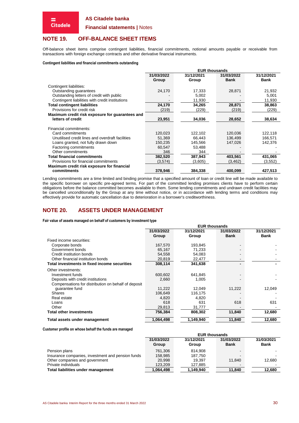#### **Financial statements |** Notes

# <span id="page-29-0"></span>**NOTE 19. OFF-BALANCE SHEET ITEMS**

Off-balance sheet items comprise contingent liabilities, financial commitments, notional amounts payable or receivable from transactions with foreign exchange contracts and other derivative financial instruments.

#### **Contingent liabilities and financial commitments outstanding**

= **Citadele** 

|                                                  | <b>EUR thousands</b> |            |             |             |  |  |  |
|--------------------------------------------------|----------------------|------------|-------------|-------------|--|--|--|
|                                                  | 31/03/2022           | 31/12/2021 | 31/03/2022  | 31/12/2021  |  |  |  |
|                                                  | Group                | Group      | <b>Bank</b> | <b>Bank</b> |  |  |  |
| Contingent liabilities:                          |                      |            |             |             |  |  |  |
| Outstanding guarantees                           | 24,170               | 17,333     | 28,871      | 21,932      |  |  |  |
| Outstanding letters of credit with public        |                      | 5,002      |             | 5,001       |  |  |  |
| Contingent liabilities with credit institutions  |                      | 11,930     |             | 11,930      |  |  |  |
| <b>Total contingent liabilities</b>              | 24,170               | 34,265     | 28,871      | 38,863      |  |  |  |
| Provisions for credit risk                       | (219)                | (229)      | (219)       | (229)       |  |  |  |
| Maximum credit risk exposure for guarantees and  |                      |            |             |             |  |  |  |
| letters of credit                                | 23,951               | 34,036     | 28,652      | 38,634      |  |  |  |
|                                                  |                      |            |             |             |  |  |  |
| Financial commitments:                           |                      |            |             |             |  |  |  |
| Card commitments                                 | 120,023              | 122,102    | 120,036     | 122,118     |  |  |  |
| Unutilised credit lines and overdraft facilities | 51,369               | 66.443     | 136,499     | 166,571     |  |  |  |
| Loans granted, not fully drawn down              | 150,235              | 145,566    | 147,026     | 142,376     |  |  |  |
| Factoring commitments                            | 60,547               | 53,488     |             |             |  |  |  |
| Other commitments                                | 346                  | 344        |             |             |  |  |  |
| <b>Total financial commitments</b>               | 382,520              | 387,943    | 403,561     | 431,065     |  |  |  |
| Provisions for financial commitments             | (3,574)              | (3,605)    | (3, 462)    | (3,552)     |  |  |  |
| Maximum credit risk exposure for financial       |                      |            |             |             |  |  |  |
| commitments                                      | 378,946              | 384,338    | 400,099     | 427,513     |  |  |  |

Lending commitments are a time limited and binding promise that a specified amount of loan or credit line will be made available to the specific borrower on specific pre-agreed terms. For part of the committed lending promises clients have to perform certain obligations before the balance committed becomes available to them. Some lending commitments and undrawn credit facilities may be cancelled unconditionally by the Group at any time without notice, or in accordance with lending terms and conditions may effectively provide for automatic cancellation due to deterioration in a borrower's creditworthiness.

# **NOTE 20. ASSETS UNDER MANAGEMENT**

**Fair value of assets managed on behalf of customers by investment type**

|                                                     | <b>EUR thousands</b> |            |             |             |  |  |  |
|-----------------------------------------------------|----------------------|------------|-------------|-------------|--|--|--|
|                                                     | 31/03/2022           | 31/12/2021 | 31/03/2022  | 31/12/2021  |  |  |  |
|                                                     | Group                | Group      | <b>Bank</b> | <b>Bank</b> |  |  |  |
| Fixed income securities:                            |                      |            |             |             |  |  |  |
| Corporate bonds                                     | 167,570              | 193,845    |             |             |  |  |  |
| Government bonds                                    | 65,167               | 71,233     |             |             |  |  |  |
| Credit institution bonds                            | 54,558               | 54,083     |             |             |  |  |  |
| Other financial institution bonds                   | 20,819               | 22,477     |             |             |  |  |  |
| Total investments in fixed income securities        | 308,114              | 341,638    |             |             |  |  |  |
| Other investments:                                  |                      |            |             |             |  |  |  |
| Investment funds                                    | 600,602              | 641.845    |             |             |  |  |  |
| Deposits with credit institutions                   | 2,660                | 1.005      |             |             |  |  |  |
| Compensations for distribution on behalf of deposit |                      |            |             |             |  |  |  |
| guarantee fund                                      | 11,222               | 12,049     | 11,222      | 12,049      |  |  |  |
| <b>Shares</b>                                       | 106.649              | 116,175    |             |             |  |  |  |
| Real estate                                         | 4,820                | 4,820      |             |             |  |  |  |
| Loans                                               | 618                  | 631        | 618         | 631         |  |  |  |
| Other                                               | 29,813               | 31,777     |             |             |  |  |  |
| <b>Total other investments</b>                      | 756,384              | 808,302    | 11,840      | 12,680      |  |  |  |
| Total assets under management                       | 1.064.498            | 1,149,940  | 11,840      | 12,680      |  |  |  |

**Customer profile on whose behalf the funds are managed**

|                                                   | <b>EUR thousands</b> |            |                |             |  |  |
|---------------------------------------------------|----------------------|------------|----------------|-------------|--|--|
|                                                   | 31/03/2022           | 31/12/2021 | 31/03/2022     | 31/03/2021  |  |  |
|                                                   | Group                | Group      | <b>Bank</b>    | <b>Bank</b> |  |  |
| Pension plans                                     | 761.306              | 814.908    | $\blacksquare$ |             |  |  |
| Insurance companies, investment and pension funds | 158.985              | 187.750    |                |             |  |  |
| Other companies and government                    | 20,998               | 19.397     | 11.840         | 12,680      |  |  |
| Private individuals                               | 123,209              | 127.885    | $\blacksquare$ |             |  |  |
| Total liabilities under management                | 1,064,498            | 1,149,940  | 11.840         | 12.680      |  |  |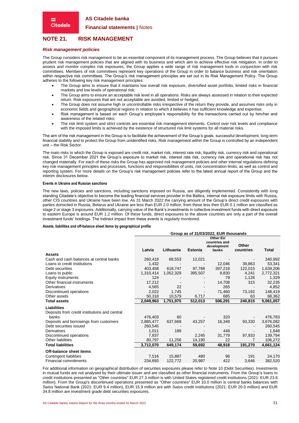**Financial statements |** Notes

# <span id="page-30-0"></span>**NOTE 21. RISK MANAGEMENT**

#### *Risk management policies*

**Citadele** 

The Group considers risk management to be an essential component of its management process. The Group believes that it pursues prudent risk management policies that are aligned with its business and which aim to achieve effective risk mitigation. In order to assess and monitor complex risk exposures, the Group applies a wide range of risk management tools in conjunction with risk committees. Members of risk committees represent key operations of the Group in order to balance business and risk orientation within respective risk committees. The Group's risk management principles are set out in its Risk Management Policy. The Group adheres to the following key risk management principles:

- The Group aims to ensure that it maintains low overall risk exposure, diversified asset portfolio, limited risks in financial markets and low levels of operational risk;
- The Group aims to ensure an acceptable risk level in all operations. Risks are always assessed in relation to their expected return. Risk exposures that are not acceptable are avoided, limited or hedged;
- The Group does not assume high or uncontrollable risks irrespective of the return they provide, and assumes risks only in economic fields and geographical regions in relation to which it believes it has sufficient knowledge and expertise;
- Risk management is based on each Group's employee's responsibility for the transactions carried out by him/her and awareness of the related risks;
- The risk limit system and strict controls are essential risk management elements. Control over risk levels and compliance with the imposed limits is achieved by the existence of structured risk limit systems for all material risks.

The aim of the risk management in the Group is to facilitate the achievement of the Group's goals, successful development, long-term financial stability and to protect the Group from unidentified risks. Risk management within the Group is controlled by an independent unit – the Risk Sector.

The main risks to which the Group is exposed are credit risk, market risk, interest rate risk, liquidity risk, currency risk and operational risk. Since 31 December 2021 the Group's exposure to market risk, interest rate risk, currency risk and operational risk has not changed materially. For each of these risks the Group has approved risk management policies and other internal regulations defining key risk management principles and processes, functions and responsibilities of units, risk concentration limits, as well as control and reporting system. For more details on the Group's risk management policies refer to the latest annual report of the Group and the interim disclosures below.

#### **Events in Ukraine and Russian sanctions**

The new laws, policies and sanctions, including sanctions imposed on Russia, are diligently implemented. Consistently with long standing Citadele's objective to become the leading financial services provider in the Baltics, internal risk exposure limits with Russia, other CIS countries and Ukraine have been low. As 31 March 2022 the carrying amount of the Group's direct credit exposures with parties domiciled in Russia, Belarus and Ukraine are less than EUR 2.0 million, from these less then EUR 0.1 million are classified as stage 2 or stage 3 exposures. Additionally, carrying value of the Bank's investments in collective investment funds with direct exposure to eastern Europe is around EUR 1.2 million. Of these funds, direct exposures to the above countries are only a part of the overall investment funds' holdings. The indirect impact from these events is regularly monitored.

#### **Assets, liabilities and off-balance sheet items by geographical profile**

|                                               | Group as of 31/03/2022, EUR thousands |           |                          |                                                   |                    |           |  |
|-----------------------------------------------|---------------------------------------|-----------|--------------------------|---------------------------------------------------|--------------------|-----------|--|
|                                               | Latvia                                | Lithuania | Estonia                  | Other EU<br>countries and<br>development<br>banks | Other<br>countries | Total     |  |
| <b>Assets</b>                                 |                                       |           |                          |                                                   |                    |           |  |
| Cash and cash balances at central banks       | 260,418                               | 68,553    | 12,021                   |                                                   |                    | 340,992   |  |
| Loans to credit institutions                  | 1,432                                 |           |                          | 12,046                                            | 39,863             | 53,341    |  |
| Debt securities                               | 403,458                               | 618,747   | 97,768                   | 397,218                                           | 122,015            | 1,639,206 |  |
| Loans to public                               | 1,310,414                             | 1,052,329 | 395,507                  | 9,830                                             | 4,241              | 2,772,321 |  |
| Equity instruments                            | 124                                   |           |                          | 79                                                | 1,126              | 1,329     |  |
| Other financial instruments                   | 17,212                                |           | $\overline{\phantom{a}}$ | 14,708                                            | 315                | 32,235    |  |
| Derivatives                                   | 4,565                                 | 22        |                          | 265                                               |                    | 4,852     |  |
| Discontinued operations                       | 2,022                                 | 1,745     | $\blacksquare$           | 71,460                                            | 73,192             | 148,419   |  |
| Other assets                                  | 50,318                                | 10,579    | 6,717                    | 685                                               | 63                 | 68,362    |  |
| <b>Total assets</b>                           | 2,049,963                             | 1,751,975 | 512,013                  | 506,291                                           | 240,815            | 5,061,057 |  |
| Liabilities                                   |                                       |           |                          |                                                   |                    |           |  |
| Deposits from credit institutions and central |                                       |           |                          |                                                   |                    |           |  |
| banks                                         | 476,403                               | 60        |                          | 320                                               |                    | 476,783   |  |
| Deposits and borrowings from customers        | 2,885,477                             | 637,669   | 43,257                   | 16,349                                            | 93,330             | 3,676,082 |  |
| Debt securities issued                        | 260,545                               |           |                          |                                                   |                    | 260,545   |  |
| Derivatives                                   | 1,011                                 | 189       |                          | 448                                               |                    | 1,648     |  |
| Discontinued operations                       | 7,837                                 |           | 2,245                    | 31,779                                            | 97,933             | 139,794   |  |
| <b>Other liabilities</b>                      | 80,797                                | 11,256    | 14,190                   | 22                                                |                    | 106,272   |  |
| <b>Total liabilities</b>                      | 3,712,070                             | 649,174   | 59,692                   | 48,918                                            | 191,270            | 4,661,124 |  |
| Off-balance sheet items                       |                                       |           |                          |                                                   |                    |           |  |
| Contingent liabilities                        | 7,516                                 | 15,887    | 480                      | 96                                                | 191                | 24,170    |  |
| <b>Financial commitments</b>                  | 234,693                               | 122,772   | 20,987                   | 422                                               | 3,646              | 382,520   |  |
|                                               |                                       |           |                          |                                                   |                    |           |  |

For additional information on geographical distribution of securities exposures please refer to [Note 10](#page-21-0) [\(Debt Securities\)](#page-21-0). Investments in mutual funds are not analysed by their ultimate issuer and are classified as other financial instruments. From the Group's loans to credit institutions presented as "Other countries" EUR 27.3 million is with United States registered credit institutions (2021: EUR 23.6 million). From the Group's discontinued operations presented as "Other countries" EUR 10.0 million is central banks balances with Swiss National Bank (2021: EUR 9.4 million), EUR 15.9 million are with Swiss credit institutions (2021: EUR 20.0 million) and EUR 34.8 million are investment grade debt securities exposures.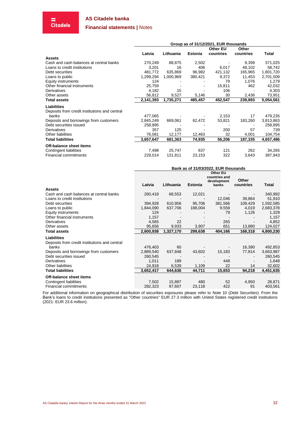**Financial statements |** Notes

# = **Citadele**

|                                               | Group as of 31/12/2021, EUR thousands |           |                |                              |                    |           |  |
|-----------------------------------------------|---------------------------------------|-----------|----------------|------------------------------|--------------------|-----------|--|
|                                               | Latvia                                | Lithuania | <b>Estonia</b> | <b>Other EU</b><br>countries | Other<br>countries | Total     |  |
| <b>Assets</b>                                 |                                       |           |                |                              |                    |           |  |
| Cash and cash balances at central banks       | 270,249                               | 88,875    | 2,502          |                              | 9,399              | 371,025   |  |
| Loans to credit institutions                  | 3,201                                 | 16        | 406            | 6,017                        | 49,102             | 58,742    |  |
| Debt securities                               | 481,772                               | 635,869   | 96,982         | 421,132                      | 165,965            | 1,801,720 |  |
| Loans to public                               | 1,299,294                             | 1,000,969 | 380,421        | 9,372                        | 11,453             | 2,701,509 |  |
| <b>Equity instruments</b>                     | 124                                   |           |                | 79                           | 1,076              | 1,279     |  |
| Other financial instruments                   | 25,759                                |           |                | 15,811                       | 462                | 42,032    |  |
| Derivatives                                   | 4,182                                 | 15        |                | 106                          |                    | 4,303     |  |
| Other assets                                  | 56,812                                | 9,527     | 5,146          | 30                           | 2,436              | 73,951    |  |
| <b>Total assets</b>                           | 2,141,393                             | 1,735,271 | 485,457        | 452,547                      | 239,893            | 5,054,561 |  |
| <b>Liabilities</b>                            |                                       |           |                |                              |                    |           |  |
| Deposits from credit institutions and central |                                       |           |                |                              |                    |           |  |
| banks                                         | 477,065                               |           |                | 2,153                        | 17                 | 479,235   |  |
| Deposits and borrowings from customers        | 2,845,249                             | 669,061   | 62,472         | 53,821                       | 183,260            | 3,813,863 |  |
| Debt securities issued                        | 258,895                               |           |                |                              |                    | 258,895   |  |
| Derivatives                                   | 357                                   | 125       |                | 200                          | 57                 | 739       |  |
| Other liabilities                             | 76,081                                | 12,177    | 12,463         | 32                           | 4,001              | 104,754   |  |
| <b>Total liabilities</b>                      | 3,657,647                             | 681,363   | 74,935         | 56,206                       | 187,335            | 4,657,486 |  |
| Off-balance sheet items                       |                                       |           |                |                              |                    |           |  |
| Contingent liabilities                        | 7,498                                 | 25,747    | 637            | 121                          | 262                | 34,265    |  |
| <b>Financial commitments</b>                  | 229,014                               | 131,811   | 23,153         | 322                          | 3,643              | 387,943   |  |

|                                               | Bank as of 31/03/2022, EUR thousands |           |                |                                                   |                    |           |  |
|-----------------------------------------------|--------------------------------------|-----------|----------------|---------------------------------------------------|--------------------|-----------|--|
|                                               | Latvia                               | Lithuania | <b>Estonia</b> | Other EU<br>countries and<br>development<br>banks | Other<br>countries | Total     |  |
| <b>Assets</b>                                 |                                      |           |                |                                                   |                    |           |  |
| Cash and cash balances at central banks       | 260,418                              | 68,553    | 12,021         |                                                   |                    | 340,992   |  |
| Loans to credit institutions                  |                                      |           |                | 12,046                                            | 39,864             | 51,910    |  |
| Debt securities                               | 394,928                              | 610,956   | 95,706         | 381,566                                           | 109,429            | 1,592,585 |  |
| Loans to public                               | 1,844,090                            | 637,706   | 188,004        | 9,559                                             | 4,019              | 2,683,378 |  |
| Equity instruments                            | 124                                  |           |                | 79                                                | 1,126              | 1,329     |  |
| Other financial instruments                   | 1,157                                |           |                |                                                   |                    | 1,157     |  |
| Derivatives                                   | 4,565                                | 22        |                | 265                                               |                    | 4,852     |  |
| Other assets                                  | 95,656                               | 9,933     | 3,907          | 651                                               | 13,880             | 124,027   |  |
| <b>Total assets</b>                           | 2,600,938                            | 1,327,170 | 299,638        | 404,166                                           | 168,318            | 4,800,230 |  |
| <b>Liabilities</b>                            |                                      |           |                |                                                   |                    |           |  |
| Deposits from credit institutions and central |                                      |           |                |                                                   |                    |           |  |
| banks                                         | 476,403                              | 60        |                |                                                   | 16,390             | 492,853   |  |
| Deposits and borrowings from customers        | 2,889,540                            | 637,848   | 43,602         | 15,183                                            | 77,814             | 3,663,987 |  |
| Debt securities issued                        | 260,545                              |           |                |                                                   |                    | 260,545   |  |
| Derivatives                                   | 1,011                                | 189       |                | 448                                               |                    | 1,648     |  |
| Other liabilities                             | 24,918                               | 6,539     | 1,109          | 22                                                | 14                 | 32,602    |  |
| <b>Total liabilities</b>                      | 3,652,417                            | 644,636   | 44,711         | 15,653                                            | 94,218             | 4,451,635 |  |
| Off-balance sheet items                       |                                      |           |                |                                                   |                    |           |  |
| Contingent liabilities                        | 7,502                                | 15,887    | 480            | 52                                                | 4,950              | 28,871    |  |
| <b>Financial commitments</b>                  | 282,323                              | 97,607    | 23,118         | 422                                               | 91                 | 403,561   |  |
|                                               |                                      |           |                |                                                   |                    |           |  |

For additional information on geographical distribution of securities exposures please refer to [Note 10](#page-21-0) (*[Debt Securities](#page-21-0)*). From the Bank's loans to credit institutions presented as "Other countries" EUR 27.3 million with United States registered credit institutions (2021: EUR 23.6 million).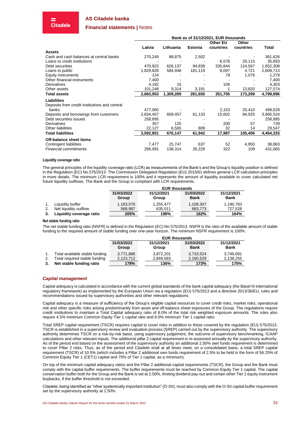#### **Financial statements |** Notes

|                                               | Bank as of 31/12/2021, EUR thousands |           |                |                 |           |           |
|-----------------------------------------------|--------------------------------------|-----------|----------------|-----------------|-----------|-----------|
|                                               |                                      |           |                | <b>Other EU</b> | Other     |           |
|                                               | Latvia                               | Lithuania | <b>Estonia</b> | countries       | countries | Total     |
| <b>Assets</b>                                 |                                      |           |                |                 |           |           |
| Cash and cash balances at central banks       | 270,249                              | 88,875    | 2,502          |                 |           | 361,626   |
| Loans to credit institutions                  |                                      |           |                | 6,578           | 29,115    | 35,693    |
| Debt securities                               | 470,922                              | 626,137   | 94,838         | 335,844         | 124,567   | 1,652,308 |
| Loans to public                               | 1,829,828                            | 584,948   | 181,119        | 9,097           | 4,721     | 2,609,713 |
| <b>Equity instruments</b>                     | 124                                  |           |                | 79              | 1,076     | 1,279     |
| Other financial instruments                   | 7,400                                |           |                |                 |           | 7,400     |
| Derivatives                                   | 4,182                                | 15        |                | 106             |           | 4,303     |
| Other assets                                  | 101,248                              | 9,314     | 3,191          |                 | 13,820    | 127,574   |
| Total assets                                  | 2,683,953                            | 1,309,289 | 281,650        | 351,705         | 173,299   | 4,799,896 |
| <b>Liabilities</b>                            |                                      |           |                |                 |           |           |
| Deposits from credit institutions and central |                                      |           |                |                 |           |           |
| banks                                         | 477,065                              |           |                | 2,153           | 20,410    | 499,628   |
| Deposits and borrowings from customers        | 2,834,407                            | 669,457   | 61,133         | 15,602          | 84,925    | 3,665,524 |
| Debt securities issued                        | 258,895                              |           |                |                 |           | 258,895   |
| Derivatives                                   | 357                                  | 125       |                | 200             | 57        | 739       |
| Other liabilities                             | 22,127                               | 6,565     | 809            | 32              | 14        | 29,547    |
| Total liabilities                             | 3,592,851                            | 676,147   | 61,942         | 17,987          | 105,406   | 4,454,333 |
| Off-balance sheet items                       |                                      |           |                |                 |           |           |
| Contingent liabilities                        | 7,477                                | 25,747    | 637            | 52              | 4,950     | 38,863    |
| <b>Financial commitments</b>                  | 266,091                              | 138,314   | 26,229         | 322             | 109       | 431,065   |

#### **Liquidity coverage ratio**

The general principles of the liquidity coverage ratio (LCR) as measurements of the Bank's and the Group's liquidity position is defined in the Regulation (EC) No 575/2013. The Commission Delegated Regulation (EU) 2015/61 defines general LCR calculation principles in more details. The minimum LCR requirement is 100% and it represents the amount of liquidity available to cover calculated net future liquidity outflows. The Bank and the Group is compliant with LCR requirements.

|                          | <b>EUR thousands</b> |                     |                           |                           |  |  |
|--------------------------|----------------------|---------------------|---------------------------|---------------------------|--|--|
|                          | 31/03/2022<br>Group  | 31/12/2021<br>Group | 31/03/2022<br><b>Bank</b> | 31/12/2021<br><b>Bank</b> |  |  |
| Liquidity buffer         | 1,163,576            | 1,255,477           | 1,109,307                 | 1,190,783                 |  |  |
| Net liquidity outflow    | 568,987              | 635,011             | 683,773                   | 727,528                   |  |  |
| Liquidity coverage ratio | 205%                 | 198%                | 162%                      | 164%                      |  |  |

#### **Net stable funding ratio**

The net stable funding ratio (NSFR) is defined in the Regulation (EC) No 575/2013. NSFR is the ratio of the available amount of stable funding to the required amount of stable funding over one-year horizon. The minimum NSFR requirement is 100%.

|    |                                | <b>EUR thousands</b> |                     |                           |                           |  |  |
|----|--------------------------------|----------------------|---------------------|---------------------------|---------------------------|--|--|
|    |                                | 31/03/2022<br>Group  | 31/12/2021<br>Group | 31/03/2022<br><b>Bank</b> | 31/12/2021<br><b>Bank</b> |  |  |
|    | Total available stable funding | 3.771.886            | 3.872.201           | 3.733.524                 | 3,749,691                 |  |  |
| 2. | Total required stable funding  | 2,123,712            | 2,849,583           | 2,160,529                 | 2,138,255                 |  |  |
| 3. | Net stable funding ratio       | 178%                 | 136%                | 173%                      | 175%                      |  |  |

#### <span id="page-32-0"></span>*Capital management*

Capital adequacy is calculated in accordance with the current global standards of the bank capital adequacy (the Basel III international regulatory framework) as implemented by the European Union via a regulation (EU) 575/2013 and a directive 2013/36/EU, rules and recommendations issued by supervisory authorities and other relevant regulations.

Capital adequacy is a measure of sufficiency of the Group's eligible capital resources to cover credit risks, market risks, operational risk and other specific risks arising predominantly from asset and off-balance sheet exposures of the Group. The regulations require credit institutions to maintain a Total Capital adequacy ratio of 8.0% of the total risk weighted exposure amounts. The rules also require 4.5% minimum Common Equity Tier 1 capital ratio and 6.0% minimum Tier 1 capital ratio.

Total SREP capital requirement (TSCR) requires capital to cover risks in addition to these covered by the regulation (EU) 575/2013. TSCR is established in a supervisory review and evaluation process (SREP) carried out by the supervisory authority. The supervisory authority determines TSCR on a risk-by-risk basis, using supervisory judgement, the outcome of supervisory benchmarking, ICAAP calculations and other relevant inputs. The additional pillar 2 capital requirement is re-assessed annually by the supervisory authority. As of the period end based on the assessment of the supervisory authority an additional 2.50% own funds requirement is determined to cover Pillar 2 risks. Thus, as of the period end Citadele shall at all times meet, on a consolidated basis, a total SREP capital requirement (TSCR) of 10.5% (which includes a Pillar 2 additional own funds requirement of 2.5% to be held in the form of 56.25% of Common Equity Tier 1 (CET1) capital and 75% of Tier 1 capital, as a minimum).

On top of the minimum capital adequacy ratios and the Pillar 2 additional capital requirements (TSCR), the Group and the Bank must comply with the capital buffer requirements. The buffer requirements must be reached by Common Equity Tier 1 capital. The capital conservation buffer both for the Group and the Bank is set at 2.50%, limiting dividend pay-out and certain other Tier 1 equity instrument buybacks, if the buffer threshold is not exceeded.

Citadele, being identified as "other systemically important institution" (O-SII), must also comply with the O-SII capital buffer requirement set by the supervisory authority at 1.50%.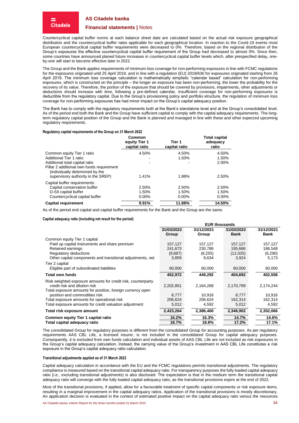**Citadele** 

#### **Financial statements |** Notes

Countercyclical capital buffer norms at each balance sheet date are calculated based on the actual risk exposure geographical distribution and the countercyclical buffer rates applicable for each geographical location. In reaction to the Covid-19 events most European countercyclical capital buffer requirements were decreased to 0%. Therefore, based on the regional distribution of the Group's exposures the effective countercyclical capital buffer requirement of the Group had decreased to almost 0%. Since then, some countries have announced planed future increases in countercyclical capital buffer levels which, after prespecified delay, oneby-one will start to become effective later in 2022.

The Group and the Bank applies requirements of minimum loss coverage for non-performing exposures in line with FCMC regulations for the exposures originated until 25 April 2019, and in line with a regulation (EU) 2019/630 for exposures originated starting from 26 April 2019. The minimum loss coverage calculation is mathematically simplistic "calendar based" calculation for non-performing exposures, which is constructed on the principle – the longer an exposure has been non-performing, the lower the probability for the recovery of its value. Therefore, the portion of the exposure that should be covered by provisions, impairments, other adjustments or deductions should increase with time, following a pre-defined calendar. Insufficient coverage for non-performing exposures is deductible from the regulatory capital. Due to the Group's provisioning policy and portfolio structure, the regulation of minimum loss coverage for non-performing exposures has had minor impact on the Group's capital adequacy position.

The Bank has to comply with the regulatory requirements both at the Bank's standalone level and at the Group's consolidated level. As of the period end both the Bank and the Group have sufficient capital to comply with the capital adequacy requirements. The longterm regulatory capital position of the Group and the Bank is planned and managed in line with these and other expected upcoming regulatory requirements.

#### **Regulatory capital requirements of the Group on 31 March 2022**

|                                                                                                                                                      | Common<br>equity Tier 1<br>capital ratio | Tier 1<br>capital ratio    | <b>Total capital</b><br>adequacy<br>ratio |
|------------------------------------------------------------------------------------------------------------------------------------------------------|------------------------------------------|----------------------------|-------------------------------------------|
| Common equity Tier 1 ratio                                                                                                                           | 4.50%                                    | 4.50%                      | 4.50%                                     |
| Additional Tier 1 ratio                                                                                                                              |                                          | 1.50%                      | 1.50%                                     |
| Additional total capital ratio<br>Pillar 2 additional own funds requirement<br>(individually determined by the<br>supervisory authority in the SREP) | 1.41%                                    | 1.88%                      | 2.00%<br>2.50%                            |
| Capital buffer requirements:<br>Capital conservation buffer<br>O-SII capital buffer<br>Countercyclical capital buffer                                | 2.50%<br>1.50%<br>$0.00\%$               | 2.50%<br>1.50%<br>$0.00\%$ | 2.50%<br>1.50%<br>0.00%                   |
| <b>Capital requirement</b>                                                                                                                           | 9.91%                                    | 11.88%                     | 14.50%                                    |

As of the period end capital and capital buffer requirements for the Bank and the Group are the same.

#### **Capital adequacy ratio (including net result for the period)**

|                                                              | <b>EUR thousands</b> |            |             |             |  |
|--------------------------------------------------------------|----------------------|------------|-------------|-------------|--|
|                                                              | 31/03/2022           | 31/12/2021 | 31/03/2022  | 31/12/2021  |  |
|                                                              | Group                | Group      | <b>Bank</b> | <b>Bank</b> |  |
| Common equity Tier 1 capital                                 |                      |            |             |             |  |
| Paid up capital instruments and share premium                | 157,127              | 157,127    | 157,127     | 157,127     |  |
| Retained earnings                                            | 241,673              | 230,786    | 195,666     | 186,548     |  |
| Regulatory deductions                                        | (9,687)              | (8,255)    | (12,025)    | (6,290)     |  |
| Other capital components and transitional adjustments, net   | 3,859                | 9,634      | 3,924       | 5,173       |  |
| Tier 2 capital                                               |                      |            |             |             |  |
| Eligible part of subordinated liabilities                    | 60,000               | 60,000     | 60,000      | 60,000      |  |
| <b>Total own funds</b>                                       | 452,972              | 449,292    | 404,692     | 402,558     |  |
| Risk weighted exposure amounts for credit risk, counterparty |                      |            |             |             |  |
| credit risk and dilution risk                                | 2,202,851            | 2,164,268  | 2,170,799   | 2,174,244   |  |
| Total exposure amounts for position, foreign currency open   |                      |            |             |             |  |
| position and commodities risk                                | 8.777                | 10.916     | 8.777       | 10,916      |  |
| Total exposure amounts for operational risk                  | 206,624              | 206,624    | 162,314     | 162,314     |  |
| Total exposure amounts for credit valuation adjustment       | 5,012                | 4,592      | 5,012       | 4,592       |  |
| Total risk exposure amount                                   | 2,423,264            | 2,386,400  | 2,346,902   | 2,352,066   |  |
| Common equity Tier 1 capital ratio                           | 16.2%                | 16.3%      | 14.7%       | 14.6%       |  |
| Total capital adequacy ratio                                 | 18.7%                | 18.8%      | 17.2%       | 17.1%       |  |

The consolidated Group for regulatory purposes is different from the consolidated Group for accounting purposes. As per regulatory requirements AAS CBL Life, a licensed insurer, is not included in the consolidated Group for capital adequacy purposes. Consequently, it is excluded from own funds calculation and individual assets of AAS CBL Life are not included as risk exposures in the Group's capital adequacy calculation. Instead, the carrying value of the Group's investment in AAS CBL Life constitutes a risk exposure in the Group's capital adequacy ratio calculation.

#### **Transitional adjustments applied as of 31 March 2022**

Capital adequacy calculation in accordance with the EU and the FCMC regulations permits transitional adjustments. The regulatory compliance is measured based on the transitional capital adequacy ratio. For transparency purposes the fully loaded capital adequacy ratio (i.e., excluding transitional adjustments) is also disclosed. The expectation is that in the medium term the transitional capital adequacy ratio will converge with the fully loaded capital adequacy ratio, as the transitional provisions expire at the end of 2022.

Most of the transitional provisions, if applied, allow for a favourable treatment of specific capital components or risk exposure items, resulting in a marginal improvement in the capital adequacy ratios. Application of the transitional provisions is mostly discretionary. An application decision is evaluated in the context of estimated positive impact on the capital adequacy ratio versus the resources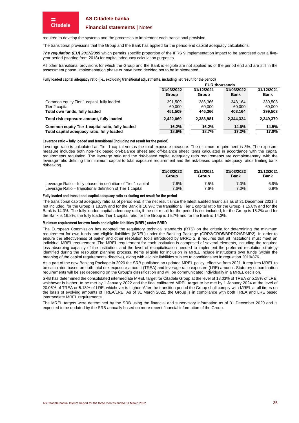#### **Financial statements |** Notes

required to develop the systems and the processes to implement each transitional provision.

The transitional provisions that the Group and the Bank has applied for the period end capital adequacy calculations:

*The regulation (EU) 2017/2395* which permits specific proportion of the IFRS 9 implementation impact to be amortised over a fiveyear period (starting from 2018) for capital adequacy calculation purposes.

All other transitional provisions for which the Group and the Bank is eligible are not applied as of the period end and are still in the assessment phase, implementation phase or have been decided not to be implemented.

#### **Fully loaded capital adequacy ratio (i.e., excluding transitional adjustments, including net result for the period)**

|                                                  |                     | <b>EUR thousands</b> |                           |                           |  |  |
|--------------------------------------------------|---------------------|----------------------|---------------------------|---------------------------|--|--|
|                                                  | 31/03/2022<br>Group | 31/12/2021<br>Group  | 31/03/2022<br><b>Bank</b> | 31/12/2021<br><b>Bank</b> |  |  |
| Common equity Tier 1 capital, fully loaded       | 391.509             | 386.366              | 343.164                   | 339,503                   |  |  |
| Tier 2 capital                                   | 60,000              | 60,000               | 60,000                    | 60,000                    |  |  |
| Total own funds, fully loaded                    | 451.509             | 446.366              | 403.164                   | 399.503                   |  |  |
| Total risk exposure amount, fully loaded         | 2,422,069           | 2.383.981            | 2.344.324                 | 2.349.379                 |  |  |
| Common equity Tier 1 capital ratio, fully loaded | 16.2%               | 16.2%                | 14.6%                     | 14.5%                     |  |  |
| Total capital adequacy ratio, fully loaded       | 18.6%               | 18.7%                | 17.2%                     | 17.0%                     |  |  |

#### **Leverage ratio – fully loaded and transitional (including net result for the period)**

Leverage ratio is calculated as Tier 1 capital versus the total exposure measure. The minimum requirement is 3%. The exposure measure includes both non-risk based on-balance sheet and off-balance sheet items calculated in accordance with the capital requirements regulation. The leverage ratio and the risk-based capital adequacy ratio requirements are complementary, with the leverage ratio defining the minimum capital to total exposure requirement and the risk-based capital adequacy ratios limiting bank risk-taking.

|                                                               | 31/03/2022<br>Group | 31/12/2021<br>Group | 31/03/2022<br><b>Bank</b> | 31/12/2021<br>Bank |
|---------------------------------------------------------------|---------------------|---------------------|---------------------------|--------------------|
| Leverage Ratio – fully phased-in definition of Tier 1 capital | 7.6%                | 7.5%                | 7.0%                      | 6.9%               |
| Leverage Ratio – transitional definition of Tier 1 capital    | 7.6%                | 7.6%                | 7.0%                      | 6.9%               |

#### **Fully loaded and transitional capital adequacy ratio excluding net result for the period**

The transitional capital adequacy ratio as of period end, if the net result since the latest audited financials as of 31 December 2021 is not included, for the Group is 18.2% and for the Bank is 16.9%; the transitional Tier 1 capital ratio for the Group is 15.8% and for the Bank is 14.3%. The fully loaded capital adequacy ratio, if the net result for the period is not included, for the Group is 18.2% and for the Bank is 16.8%; the fully loaded Tier 1 capital ratio for the Group is 15.7% and for the Bank is 14.3%.

#### **Minimum requirement for own funds and eligible liabilities (MREL) under BRRD**

The European Commission has adopted the regulatory technical standards (RTS) on the criteria for determining the minimum requirement for own funds and eligible liabilities (MREL) under the Banking Package (CRR2/CRD5/BRRD2/SRMR2). In order to ensure the effectiveness of bail-in and other resolution tools introduced by BRRD 2, it requires that all institutions must meet an individual MREL requirement. The MREL requirement for each institution is comprised of several elements, including the required loss absorbing capacity of the institution, and the level of recapitalisation needed to implement the preferred resolution strategy identified during the resolution planning process. Items eligible for inclusion in MREL include institution's own funds (within the meaning of the capital requirements directive), along with eligible liabilities subject to conditions set in regulation 2019/876.

As a part of the new Banking Package in 2020 the SRB published an updated MREL policy, effective from 2021. It requires MREL to be calculated based on both total risk exposure amount (TREA) and leverage ratio exposure (LRE) amount. Statutory subordination requirements will be set depending on the Group's classification and will be communicated individually in a MREL decision.

SRB has determined the consolidated intermediate MREL target for Citadele Group at the level of 18.03% of TREA or 5.18% of LRE, whichever is higher, to be met by 1 January 2022 and the final calibrated MREL target to be met by 1 January 2024 at the level of 20.06% of TREA or 5.18% of LRE, whichever is higher. After the transition period the Group shall comply with MREL at all times on the basis of evolving amounts of TREA/LRE. As of 31 March 2022, the Group is in compliance with both TREA and LRE based intermediate MREL requirements.

<span id="page-34-0"></span>The MREL targets were determined by the SRB using the financial and supervisory information as of 31 December 2020 and is expected to be updated by the SRB annually based on more recent financial information of the Group.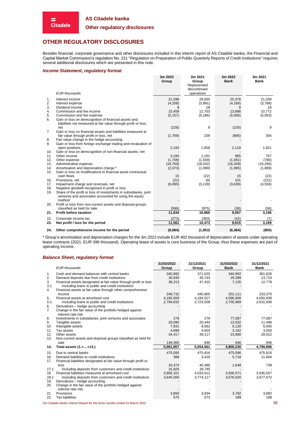#### **Other regulatory disclosures**

# <span id="page-35-0"></span>**OTHER REGULATORY DISCLOSURES**

Besides financial, corporate governance and other disclosures included in this interim report of AS Citadele banka, the Financial and Capital Market Commission's regulation No. 231 "Regulation on Preparation of Public Quarterly Reports of Credit institutions" requires several additional disclosures which are presented in this note.

#### *Income Statement, regulatory format*

= **Citadele** 

| 3m 2022<br>Group                                              | 3m 2021<br>Group                                                                  | 3m 2022<br><b>Bank</b>                                                                                           | 3m 2021<br><b>Bank</b>                                                            |
|---------------------------------------------------------------|-----------------------------------------------------------------------------------|------------------------------------------------------------------------------------------------------------------|-----------------------------------------------------------------------------------|
|                                                               |                                                                                   |                                                                                                                  |                                                                                   |
|                                                               | operations                                                                        |                                                                                                                  |                                                                                   |
| 31,598                                                        | 29,500                                                                            | 25,378                                                                                                           | 21,038                                                                            |
| (4,208)                                                       | (3,891)                                                                           | (4, 168)                                                                                                         | (3,788)                                                                           |
| 8                                                             |                                                                                   |                                                                                                                  | 18                                                                                |
|                                                               |                                                                                   |                                                                                                                  | 10,772                                                                            |
|                                                               |                                                                                   |                                                                                                                  | (5,053)                                                                           |
|                                                               |                                                                                   |                                                                                                                  |                                                                                   |
|                                                               |                                                                                   |                                                                                                                  |                                                                                   |
|                                                               |                                                                                   |                                                                                                                  | 9                                                                                 |
|                                                               |                                                                                   |                                                                                                                  | 305                                                                               |
|                                                               |                                                                                   |                                                                                                                  |                                                                                   |
|                                                               |                                                                                   |                                                                                                                  |                                                                                   |
|                                                               |                                                                                   |                                                                                                                  | 1,921                                                                             |
|                                                               |                                                                                   |                                                                                                                  |                                                                                   |
| 3,184                                                         | 1,191                                                                             | 965                                                                                                              | 767                                                                               |
| (1,708)                                                       | (1,509)                                                                           | (1,061)                                                                                                          | (780)                                                                             |
| (18, 769)                                                     | (18,032)                                                                          | (16, 349)                                                                                                        | (15, 266)                                                                         |
| (2,073)                                                       | (1,999)                                                                           | (1,985)                                                                                                          | (1,889)                                                                           |
|                                                               |                                                                                   |                                                                                                                  |                                                                                   |
|                                                               |                                                                                   |                                                                                                                  | (22)                                                                              |
|                                                               |                                                                                   |                                                                                                                  | (222)                                                                             |
|                                                               |                                                                                   |                                                                                                                  | (4, 558)                                                                          |
|                                                               |                                                                                   |                                                                                                                  |                                                                                   |
|                                                               |                                                                                   |                                                                                                                  |                                                                                   |
|                                                               |                                                                                   |                                                                                                                  |                                                                                   |
|                                                               |                                                                                   |                                                                                                                  |                                                                                   |
|                                                               |                                                                                   |                                                                                                                  | (56)                                                                              |
| 11,834                                                        | 10,866                                                                            | 9,057                                                                                                            | 3,196                                                                             |
| (273)                                                         | (393)                                                                             | (42)                                                                                                             | (7)                                                                               |
| 11,561                                                        | 10,473                                                                            | 9,015                                                                                                            | 3,189                                                                             |
| (9,084)                                                       | (1, 853)                                                                          | (6, 364)                                                                                                         | (865)                                                                             |
| Gain or loss from foreign exchange trading and revaluation of | 15,459<br>(5, 157)<br>(226)<br>(1,769)<br>2,183<br>15<br>(22)<br>(6,085)<br>(596) | Represented<br>discontinued<br>18<br>12,703<br>(5, 186)<br>9<br>238<br>1,958<br>(22)<br>(9)<br>(3, 128)<br>(975) | 8<br>13,898<br>(5,066)<br>(226)<br>(895)<br>2,119<br>15<br>101<br>(3,639)<br>(38) |

\* Group's amortisation and depreciation charges for the 3m 2022 include EUR 402 thousand of depreciation of assets under operating lease contracts (2021: EUR 396 thousand). Operating lease of assets is core business of the Group, thus these expenses are part of operating income.

#### *Balance Sheet, regulatory format*

|                  | <b>EUR</b> thousands                                                                                                                                                                | 31/03/2022<br>Group | 31/12/2021<br>Group | 31/03/2022<br><b>Bank</b> | 31/12/2021<br><b>Bank</b> |
|------------------|-------------------------------------------------------------------------------------------------------------------------------------------------------------------------------------|---------------------|---------------------|---------------------------|---------------------------|
| 1.<br>2.         | Cash and demand balances with central banks<br>Demand deposits due from credit institutions                                                                                         | 340,992<br>30,830   | 371,025<br>36.743   | 340,992<br>29,399         | 361,626<br>13,710         |
| 3.<br>3.1.<br>4. | Financial assets designated at fair value through profit or loss<br>Including loans to public and credit institutions<br>Financial assets at fair value through other comprehensive | 38,213              | 47,410              | 7,135                     | 12,778                    |
|                  | income                                                                                                                                                                              | 248,732             | 340,905             | 202,111                   | 233,370                   |
| 5.               | Financial assets at amortised cost                                                                                                                                                  | 4,185,509           | 4,184,527           | 4,096,566                 | 4,050,838                 |
| 5.1.<br>6.       | Including loans to public and credit institutions<br>Derivatives - hedge accounting                                                                                                 | 2,794,832           | 2,723,508           | 2,705,889                 | 2,631,696                 |
| 7.               | Change in the fair value of the portfolio hedged against<br>interest rate risk                                                                                                      |                     |                     |                           |                           |
| 8.               | Investments in subsidiaries, joint ventures and associates                                                                                                                          | 279                 | 279                 | 77,087                    | 77,087                    |
| 9.               | Tangible assets                                                                                                                                                                     | 20,090              | 20,444              | 13,032                    | 11,496                    |
| 10.              | Intangible assets                                                                                                                                                                   | 7,931               | 8,562               | 6,120                     | 6,083                     |
| 11.              | Tax assets                                                                                                                                                                          | 4,699               | 4,603               | 3,162                     | 3,050                     |
| 12.              | Other assets                                                                                                                                                                        | 34,417              | 39,117              | 23,680                    | 28,912                    |
| 13.              | Non-current assets and disposal groups classified as held for                                                                                                                       |                     |                     |                           |                           |
|                  | sale                                                                                                                                                                                | 149,365             | 946                 | 946                       | 946                       |
| 14.              | Total assets (1.++13.)                                                                                                                                                              | 5,061,057           | 5,054,561           | 4,800,230                 | 4,799,896                 |
| 15.              | Due to central banks                                                                                                                                                                | 475,095             | 475,816             | 475,096                   | 475.816                   |
| 16.              | Demand liabilities to credit institutions                                                                                                                                           | 388                 | 3,419               | 5,718                     | 11,664                    |
| 17.              | Financial liabilities designated at fair value through profit or                                                                                                                    |                     |                     |                           |                           |
|                  | loss                                                                                                                                                                                | 33,474              | 40,485              | 1,648                     | 739                       |
| 17.1             | Including deposits from customers and credit institutions                                                                                                                           | 31,826              | 39.745              |                           |                           |
| 18.              | Financial liabilities measured at amortised cost                                                                                                                                    | 3,906,101           | 4,033,012           | 3,936,571                 | 3,936,567                 |
| 18.1             | Including deposits from customers and credit institutions                                                                                                                           | 3,645,556           | 3,774,117           | 3,676,026                 | 3,677,672                 |
| 19.              | Derivatives - hedge accounting                                                                                                                                                      |                     |                     |                           |                           |
| 20.              | Change in the fair value of the portfolio hedged against                                                                                                                            |                     |                     |                           |                           |
|                  | interest rate risk                                                                                                                                                                  |                     |                     |                           |                           |
| 21.              | Provisions                                                                                                                                                                          | 3,893               | 3,934               | 3,782                     | 3,882                     |
| 22.              | <b>Tax liabilities</b>                                                                                                                                                              | 575                 | 573                 | 189                       | 189                       |

AS Citadele banka Interim Report for the three months ended 31 March 2022 36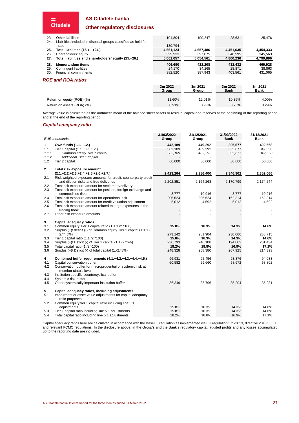# **Other regulatory disclosures**

| 23.<br>24. | Other liabilities<br>Liabilities included in disposal groups classified as held for | 101.804          | 100.247          | 28.631                 | 25.476                 |
|------------|-------------------------------------------------------------------------------------|------------------|------------------|------------------------|------------------------|
|            | sale                                                                                | 139,794          |                  |                        |                        |
| 25.        | Total liabilities (15.++24.)                                                        | 4,661,124        | 4,657,486        | 4,451,635              | 4,454,333              |
| 26.        | Shareholders' equity                                                                | 399,933          | 397,075          | 348,595                | 345,563                |
| 27.        | Total liabilities and shareholders' equity (25.+26.)                                | 5.061.057        | 5.054.561        | 4.800.230              | 4,799,896              |
| 28.        | <b>Memorandum items</b>                                                             | 406.690          | 422,208          | 432.432                | 469,928                |
| 29.        | Contingent liabilities                                                              | 24.170           | 34.265           | 28.871                 | 38,863                 |
| 30.        | Financial commitments                                                               | 382,520          | 387.943          | 403.561                | 431,065                |
|            | <b>ROE and ROA ratios</b>                                                           |                  |                  |                        |                        |
|            |                                                                                     | 3m 2022<br>Group | 3m 2021<br>Group | 3m 2022<br><b>Bank</b> | 3m 2021<br><b>Bank</b> |
|            |                                                                                     |                  |                  |                        |                        |
|            | Return on equity (ROE) (%)                                                          | 11.60%           | 12.01%           | 10.39%                 | 4.00%                  |
|            | Return on assets (ROA) (%)                                                          | 0.91%            | 0.90%            | 0.75%                  | 0.29%                  |

Average value is calculated as the arithmetic mean of the balance sheet assets or residual capital and reserves at the beginning of the reporting period and at the end of the reporting period.

#### *Capital adequacy ratio*

 $\equiv$ <br>Citadele

|                | <b>EUR</b> thousands                                                                | 31/03/2022<br>Group | 31/12/2021<br>Group | 31/03/2022<br><b>Bank</b> | 31/12/2021<br>Bank |
|----------------|-------------------------------------------------------------------------------------|---------------------|---------------------|---------------------------|--------------------|
| 1              | Own funds (1.1.+1.2.)                                                               | 442,189             | 449,292             | 395,677                   | 402,558            |
| 1.1            | Tier 1 capital (1.1.1.+1.1.2.)                                                      | 382,189             | 489,292             | 335,677                   | 342,558            |
| 1.1.1          | Common equity Tier 1 capital                                                        | 382,189             | 489,292             | 335,677                   | 342,558            |
| 1.1.2          | Additional Tier 1 capital                                                           |                     |                     |                           |                    |
| 1.2            | Tier 2 capital                                                                      | 60,000              | 60,000              | 60,000                    | 60,000             |
| $\overline{2}$ | Total risk exposure amount                                                          |                     |                     |                           |                    |
|                | $(2.1.+2.2.+2.3.+2.4.+2.5.+2.6.+2.7.)$                                              | 2,423,264           | 2,386,400           | 2,346,902                 | 2,352,066          |
| 2.1            | Risk weighted exposure amounts for credit, counterparty credit                      |                     |                     |                           |                    |
|                | and dilution risks and free deliveries                                              | 2,202,851           | 2,164,268           | 2,170,799                 | 2,174,244          |
| 2.2<br>2.3     | Total risk exposure amount for settlement/delivery                                  |                     |                     |                           |                    |
|                | Total risk exposure amount for position, foreign exchange and<br>commodities risks  | 8,777               | 10,916              | 8,777                     | 10,916             |
| 2.4            | Total risk exposure amount for operational risk                                     | 206,624             | 206,624             | 162,314                   | 162,314            |
| 2.5            | Total risk exposure amount for credit valuation adjustment                          | 5,012               | 4,592               | 5,012                     | 4,592              |
| 2.6            | Total risk exposure amount related to large exposures in the                        |                     |                     |                           |                    |
|                | trading book                                                                        |                     |                     |                           |                    |
| 2.7            | Other risk exposure amounts                                                         |                     |                     |                           |                    |
| 3              | Capital adequacy ratios                                                             |                     |                     |                           |                    |
| 3.1            | Common equity Tier 1 capital ratio (1.1.1./2.*100)                                  | 15.8%               | 16.3%               | 14.3%                     | 14.6%              |
| 3.2            | Surplus (+)/ deficit (-) of Common equity Tier 1 capital (1.1.1.-                   |                     |                     |                           |                    |
|                | $2.*4.5%$                                                                           | 273,142             | 281,904             | 230,066                   | 236,715            |
| 3.3            | Tier 1 capital ratio (1.1./2.*100)                                                  | 15.8%               | 16.3%               | 14.3%                     | 14.6%              |
| 3.4            | Surplus (+)/ Deficit (-) of Tier 1 capital (1.1.-2.*6%)                             | 236,793             | 246,108             | 194,863                   | 201,434            |
| 3.5            | Total capital ratio (1./2.*100)                                                     | 18.2%               | 18.8%               | 16.9%                     | 17.1%              |
| 3.6            | Surplus (+)/ Deficit (-) of total capital (1.-2.*8%)                                | 248,328             | 258,380             | 207,925                   | 214,393            |
| 4              | Combined buffer requirements (4.1.+4.2.+4.3.+4.4.+4.5.)                             | 96,931              | 95,456              | 93,876                    | 94,083             |
| 4.1            | Capital conservation buffer                                                         | 60,582              | 59,660              | 58,672                    | 58,802             |
| 4.2            | Conservation buffer for macroprudential or systemic risk at<br>member state's level |                     |                     |                           |                    |
| 4.3            | Institution specific countercyclical buffer                                         |                     |                     |                           |                    |
| 4.4            | Systemic risk buffer                                                                |                     |                     |                           |                    |
| 4.5            | Other systemically important institution buffer                                     | 36,349              | 35,796              | 35,204                    | 35,281             |
| 5              | Capital adequacy ratios, including adjustments                                      |                     |                     |                           |                    |
| 5.1            | Impairment or asset value adjustments for capital adequacy                          |                     |                     |                           |                    |
|                | ratio purposes                                                                      |                     |                     |                           |                    |
| 5.2            | Common equity tier 1 capital ratio including line 5.1                               |                     |                     |                           |                    |
|                | adjustments                                                                         | 15.8%               | 16.3%               | 14.3%                     | 14.6%              |
| 5.3            | Tier 1 capital ratio including line 5.1 adjustments                                 | 15.8%               | 16.3%               | 14.3%                     | 14.6%              |
| 5.4            | Total capital ratio including line 5.1 adjustments                                  | 18.2%               | 18.8%               | 16.9%                     | 17.1%              |

Capital adequacy ratios here are calculated in accordance with the Basel III regulation as implemented via EU regulation 575/2013, directive 2013/36/EU and relevant FCMC regulations. In the disclosure above, in the Group's and the Bank's regulatory capital, audited profits and any losses accumulated up to the reporting date are included.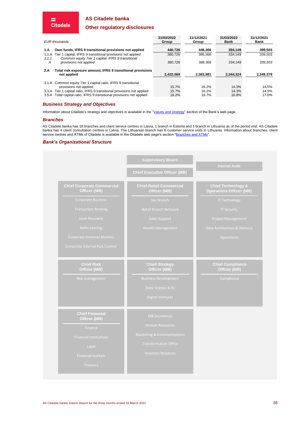#### **Other regulatory disclosures**

| <b>EUR</b> thousands |                                                                                                                 | 31/03/2022<br>Group | 31/12/2021<br>Group | 31/03/2022<br><b>Bank</b> | 31/12/2021<br>Bank |
|----------------------|-----------------------------------------------------------------------------------------------------------------|---------------------|---------------------|---------------------------|--------------------|
| 1.A                  | Own funds, IFRS 9 transitional provisions not applied                                                           | 440.726             | 446.366             | 394.149                   | 399.503            |
| 1.1.A<br>1.1.1.      | Tier 1 capital, IFRS 9 transitional provisions not applied<br>Common equity Tier 1 capital, IFRS 9 transitional | 380.726             | 386.366             | 334.149                   | 339.503            |
| A                    | provisions not applied                                                                                          | 380.726             | 386.366             | 334.149                   | 339.503            |
| 2.A                  | Total risk exposure amount, IFRS 9 transitional provisions                                                      |                     |                     |                           |                    |
|                      | not applied                                                                                                     | 2.422.069           | 2.383.981           | 2.344.324                 | 2.349.379          |
|                      | 3.1.A Common equity Tier 1 capital ratio, IFRS 9 transitional<br>provisions not applied                         | 15.7%               | 16.2%               | 14.3%                     | 14.5%              |
|                      | 3.3.A Tier 1 capital ratio, IFRS 9 transitional provisions not applied                                          | 15.7%               | 16.2%               | 14.3%                     | 14.5%              |
|                      | 3.5.A Total capital ratio, IFRS 9 transitional provisions not applied                                           | 18.2%               | 18.7%               | 16.8%                     | 17.0%              |

#### *Business Strategy and Objectives*

Information about Citadele's strategy and objectives is available in the ["Values and strategy"](https://www.cblgroup.com/en/about-us/values-and-strategy/) section of the Bank's web page.

#### *Branches*

 $\equiv$ <br>Citadele

AS Citadele banka has 18 branches and client service centres in Latvia, 1 branch in Estonia and 1 branch in Lithuania as of the period end. AS Citadele banka has 4 client consultation centres in Latvia. The Lithuanian branch has 6 customer service units in Lithuania. Information about branches, client service centres and ATMs of Citadele is available in the Citadele web page's section "<u>Branches and ATMs</u>".

#### *Bank's Organizational Structure*

|                                                   | <b>Supervisory Board</b>                       | <b>Internal Audit</b>                                           |  |
|---------------------------------------------------|------------------------------------------------|-----------------------------------------------------------------|--|
|                                                   | <b>Chief Executive Officer (MB)</b>            |                                                                 |  |
| <b>Chief Corporate Commercial</b><br>Officer (MB) | <b>Chief Retail Commercial</b><br>Officer (MB) | <b>Chief Technology &amp;</b><br><b>Operations Officer (MB)</b> |  |
| <b>Corporate Business</b>                         | Sky Branch                                     | <b>IT Technology</b>                                            |  |
| <b>Transaction Banking</b>                        | Retail Branch Network                          | <b>IT Security</b>                                              |  |
| Loan Recovery                                     | Sales Support                                  | <b>Project Management</b>                                       |  |
| <b>Baltic Leasing</b>                             | Wealth Management                              | Data Architecture & Delivery                                    |  |
| <b>Corporate Financial Markets</b>                |                                                | <b>Operations</b>                                               |  |
| Corporate Internal Risk Control                   |                                                |                                                                 |  |
| <b>Chief Risk</b><br>Officer (MB)                 | <b>Chief Strategy</b><br>Officer (MB)          | <b>Chief Compliance</b><br>Officer (MB)                         |  |
| Risk management                                   | <b>Business Development</b>                    | Compliance                                                      |  |
|                                                   | Data Science & AI                              |                                                                 |  |
|                                                   | <b>Digital Ventures</b>                        |                                                                 |  |
| <b>Chief Financial</b><br>Officer (MB)            | <b>MB Secretariat</b>                          |                                                                 |  |
| Finance                                           | <b>Human Resources</b>                         |                                                                 |  |
| <b>Financial Institutions</b>                     | <b>Marketing &amp; Communications</b>          |                                                                 |  |
|                                                   | <b>Transformation Office</b>                   |                                                                 |  |
| Legal                                             |                                                |                                                                 |  |
| <b>Financial markets</b>                          | <b>Investors Relations</b>                     |                                                                 |  |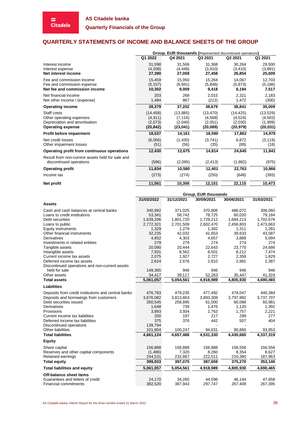► **Citadele** 

**Quarterly Financials of the Group**

# <span id="page-38-0"></span>**QUARTERLY STATEMENTS OF INCOME AND BALANCE SHEETS OF THE GROUP**

|                                                                                                      | Group, EUR thousands (Represented discontinued operations) |                                               |                                              |                                              |                                              |  |  |
|------------------------------------------------------------------------------------------------------|------------------------------------------------------------|-----------------------------------------------|----------------------------------------------|----------------------------------------------|----------------------------------------------|--|--|
|                                                                                                      | Q1 2022                                                    | Q4 2021                                       | Q3 2021                                      | Q <sub>2</sub> 2021                          | Q1 2021                                      |  |  |
| Interest income<br>Interest expense<br>Net interest income                                           | 31,598<br>(4,208)<br>27,390                                | 31,506<br>(4, 448)<br>27,058                  | 31,368<br>(3,910)<br>27,458                  | 30,264<br>(3, 410)<br>26,854                 | 29,500<br>(3,891)<br>25,609                  |  |  |
| Fee and commission income<br>Fee and commission expense<br>Net fee and commission income             | 15,459<br>(5, 157)<br>10,302                               | 15,950<br>(6,941)<br>9,009                    | 15,264<br>(5,846)<br>9,418                   | 14,067<br>(5, 873)<br>8,194                  | 12,703<br>(5, 186)<br>7,517                  |  |  |
| Net financial income<br>Net other income / (expense)                                                 | 203<br>1,484                                               | 268<br>867                                    | 2,015<br>(212)                               | 2,321<br>1,472                               | 2,183<br>(300)                               |  |  |
| <b>Operating income</b>                                                                              | 39,379                                                     | 37,202                                        | 38,679                                       | 38,841                                       | 35,009                                       |  |  |
| Staff costs<br>Other operating expenses<br>Depreciation and amortisation<br><b>Operating expense</b> | (14, 458)<br>(4,311)<br>(2,073)<br>(20, 842)               | (13, 885)<br>(7, 116)<br>(2,040)<br>(23, 041) | (13, 470)<br>(4,568)<br>(2,051)<br>(20, 089) | (14, 425)<br>(4,524)<br>(2,030)<br>(20, 979) | (13, 529)<br>(4,503)<br>(1,999)<br>(20, 031) |  |  |
| Profit before impairment                                                                             | 18,537                                                     | 14,161                                        | 18,590                                       | 17,862                                       | 14,978                                       |  |  |
| Net credit losses<br>Other impairment losses                                                         | (6,056)<br>(51)                                            | (1,430)<br>(56)                               | (3,741)<br>(35)                              | 6,872<br>(89)                                | (3, 119)<br>(18)                             |  |  |
| Operating profit from continuous operations                                                          | 12,430                                                     | 12,675                                        | 14,814                                       | 24,645                                       | 11,841                                       |  |  |
| Result from non-current assets held for sale and<br>discontinued operations                          | (596)                                                      | (2,095)                                       | (2, 413)                                     | (1,882)                                      | (975)                                        |  |  |
| <b>Operating profit</b>                                                                              | 11,834                                                     | 10,580                                        | 12,401                                       | 22,763                                       | 10,866                                       |  |  |
| Income tax                                                                                           | (273)                                                      | (274)                                         | (250)                                        | (648)                                        | (393)                                        |  |  |
| Net profit                                                                                           | 11,561                                                     | 10,306                                        | 12,151                                       | 22,115                                       | 10,473                                       |  |  |

**Group, EUR thousands 31/03/2022 31/12/2021 30/09/2021 30/06/2021 31/03/2021 Assets** Cash and cash balances at central banks 340,992 371,025 370,806 486,072 306,060<br>
Loans to credit institutions 53,341 58,742 78,725 60,020 79,184 Loans to credit institutions <br>Debt securities the contract of the contract of the contract of the contract of the contract of the contract of<br>
1,639,206 1,801,720 1,729,212 1,684,213 1,702,676 Debt securities 1,639,206 1,801,720 1,729,212 1,684,213 1,702,676<br>
Loans to public 2,772,321 2,772,321 2,701,509 2,602,470 2,456,803 2,473,663 Loans to public 2,772,321 2,701,509 2,602,470 2,456,803 2,473,663 Equity instruments 1,329 1,279 1,302 1,311 1,281 Other financial instruments 132,235 42,032 41,653 39,633 43,587<br>Derivatives 1,882 4,852 4,303 4,657 3,889 5,094 Derivatives 4,852 4,303 4,657 3,889 5,094 Investments in related entities 279 279 274 274 274 Tangible assets Postagible assets 1,829 and the content income tax assets that is the content income tax assets that the content income tax assets the content of the content of the content of the content of the content of the content of t Current income tax assets 2,075 1,927 2,359 1,829<br>
Deferred income tax assets 2,624 2,676 2,810 2,981 2,387 Deferred income tax assets Discontinued operations and non-current assets held for sale 149,365 946 946 946 946 Other assets 34,417 39,117 52,263 35,447 41,324 **Total assets 5,061,057 5,054,561 4,918,989 4,805,930 4,690,465 Liabilities** Deposits from credit institutions and central banks  $\begin{array}{r}\n 476,783 \\
 479,235 \\
 3,676,082\n \end{array}$   $\begin{array}{r}\n 479,235 \\
 477,492 \\
 3,893,309\n \end{array}$   $\begin{array}{r}\n 478,047 \\
 479,235 \\
 3,893,309\n \end{array}$   $\begin{array}{r}\n 478,047 \\
 479,235\n \end{array}$  Deposits and borrowings from customers <br>
Debt securities issued the customers of the control of the control of the control of the control of the control of the control of the control of the control of the control of the co Debt securities issued 260,545<br>Derivatives 1 648 Derivatives 1,648 739 1,476 1,120 1,392 Provisions 3,893 3,934 2,763 1,757 2,221 Current income tax liabilities and the contract of the contract of the contract of the contract of the contract of the contract of the contract of the contract of the contract of the contract of the contract of the contrac Deferred income tax liabilities Discontinued operations 139,794 Other liabilities **101,804** 100,247 94,631 90,860 93,953 **Total liabilities 4,661,124 4,657,486 4,531,330 4,430,660 4,337,319 Equity** Share capital 156,888 156,888 156,888 156,556 156,556 Reserves and other capital components (1,486) 7,320 8,260 8,354 8,627 Retained earnings 244,531 232,867 222,511 210,360 187,963 **Total equity 399,933 397,075 387,659 375,270 353,146 Total liabilities and equity 5,061,057 5,054,561 4,918,989 4,805,930 4,690,465 Off-balance sheet items** Guarantees and letters of credit  $24,170$   $34,265$   $44,596$   $46,144$   $47,658$ <br>
Financial commitments  $382.520$   $387.943$   $297.747$   $267.409$   $267.395$ Financial commitments